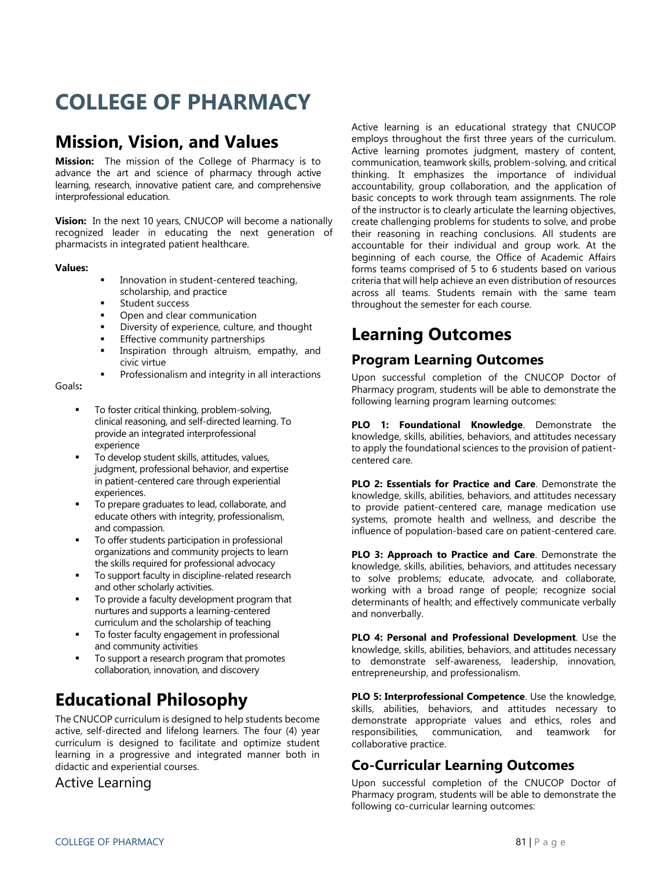# **COLLEGE OF PHARMACY**

# **Mission, Vision, and Values**

**Mission:** The mission of the College of Pharmacy is to advance the art and science of pharmacy through active learning, research, innovative patient care, and comprehensive interprofessional education.

**Vision:** In the next 10 years, CNUCOP will become a nationally recognized leader in educating the next generation of pharmacists in integrated patient healthcare.

### **Values:**

- Innovation in student-centered teaching, scholarship, and practice
- **Student success**
- Open and clear communication
- Diversity of experience, culture, and thought
- Effective community partnerships
- Inspiration through altruism, empathy, and civic virtue
- Professionalism and integrity in all interactions

### Goals**:**

- To foster critical thinking, problem-solving, clinical reasoning, and self-directed learning. To provide an integrated interprofessional experience
- To develop student skills, attitudes, values, judgment, professional behavior, and expertise in patient-centered care through experiential experiences.
- To prepare graduates to lead, collaborate, and educate others with integrity, professionalism, and compassion.
- To offer students participation in professional organizations and community projects to learn the skills required for professional advocacy
- To support faculty in discipline-related research and other scholarly activities.
- To provide a faculty development program that nurtures and supports a learning-centered curriculum and the scholarship of teaching
- To foster faculty engagement in professional and community activities
- To support a research program that promotes collaboration, innovation, and discovery

# **Educational Philosophy**

The CNUCOP curriculum is designed to help students become active, self-directed and lifelong learners. The four (4) year curriculum is designed to facilitate and optimize student learning in a progressive and integrated manner both in didactic and experiential courses.

### Active Learning

Active learning is an educational strategy that CNUCOP employs throughout the first three years of the curriculum. Active learning promotes judgment, mastery of content, communication, teamwork skills, problem-solving, and critical thinking. It emphasizes the importance of individual accountability, group collaboration, and the application of basic concepts to work through team assignments. The role of the instructor is to clearly articulate the learning objectives, create challenging problems for students to solve, and probe their reasoning in reaching conclusions. All students are accountable for their individual and group work. At the beginning of each course, the Office of Academic Affairs forms teams comprised of 5 to 6 students based on various criteria that will help achieve an even distribution of resources across all teams. Students remain with the same team throughout the semester for each course.

# **Learning Outcomes**

# **Program Learning Outcomes**

Upon successful completion of the CNUCOP Doctor of Pharmacy program, students will be able to demonstrate the following learning program learning outcomes:

**PLO 1: Foundational Knowledge**. Demonstrate the knowledge, skills, abilities, behaviors, and attitudes necessary to apply the foundational sciences to the provision of patientcentered care.

**PLO 2: Essentials for Practice and Care**. Demonstrate the knowledge, skills, abilities, behaviors, and attitudes necessary to provide patient-centered care, manage medication use systems, promote health and wellness, and describe the influence of population-based care on patient-centered care.

**PLO 3: Approach to Practice and Care**. Demonstrate the knowledge, skills, abilities, behaviors, and attitudes necessary to solve problems; educate, advocate, and collaborate, working with a broad range of people; recognize social determinants of health; and effectively communicate verbally and nonverbally.

**PLO 4: Personal and Professional Development**. Use the knowledge, skills, abilities, behaviors, and attitudes necessary to demonstrate self-awareness, leadership, innovation, entrepreneurship, and professionalism.

**PLO 5: Interprofessional Competence**. Use the knowledge, skills, abilities, behaviors, and attitudes necessary to demonstrate appropriate values and ethics, roles and responsibilities, communication, and teamwork for collaborative practice.

# **Co-Curricular Learning Outcomes**

Upon successful completion of the CNUCOP Doctor of Pharmacy program, students will be able to demonstrate the following co-curricular learning outcomes: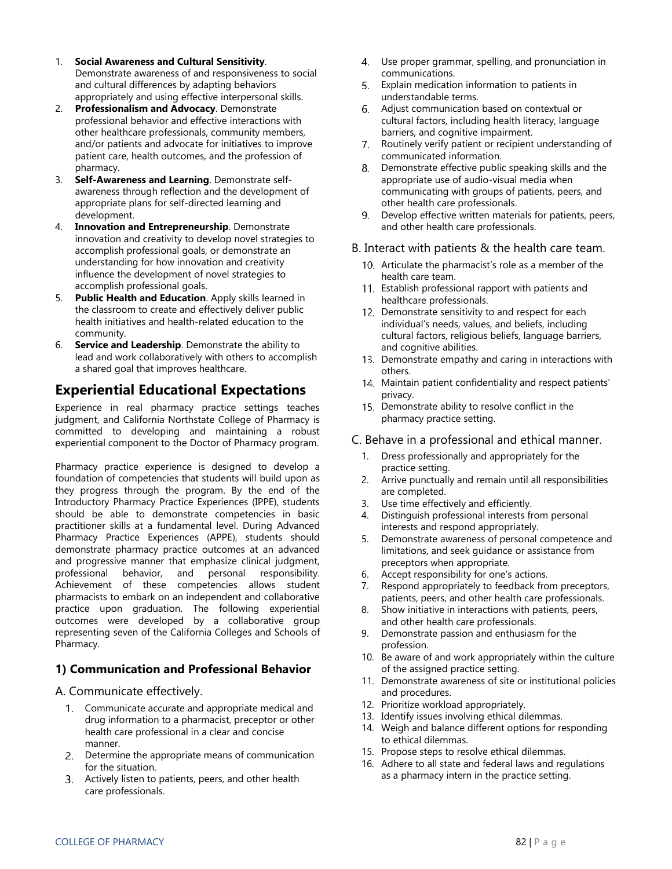- 1. **Social Awareness and Cultural Sensitivity**. Demonstrate awareness of and responsiveness to social and cultural differences by adapting behaviors appropriately and using effective interpersonal skills.
- 2. **Professionalism and Advocacy**. Demonstrate professional behavior and effective interactions with other healthcare professionals, community members, and/or patients and advocate for initiatives to improve patient care, health outcomes, and the profession of pharmacy.
- 3. **Self-Awareness and Learning**. Demonstrate selfawareness through reflection and the development of appropriate plans for self-directed learning and development.
- 4. **Innovation and Entrepreneurship**. Demonstrate innovation and creativity to develop novel strategies to accomplish professional goals, or demonstrate an understanding for how innovation and creativity influence the development of novel strategies to accomplish professional goals.
- 5. **Public Health and Education**. Apply skills learned in the classroom to create and effectively deliver public health initiatives and health-related education to the community.
- 6. **Service and Leadership**. Demonstrate the ability to lead and work collaboratively with others to accomplish a shared goal that improves healthcare.

# **Experiential Educational Expectations**

Experience in real pharmacy practice settings teaches judgment, and California Northstate College of Pharmacy is committed to developing and maintaining a robust experiential component to the Doctor of Pharmacy program.

Pharmacy practice experience is designed to develop a foundation of competencies that students will build upon as they progress through the program. By the end of the Introductory Pharmacy Practice Experiences (IPPE), students should be able to demonstrate competencies in basic practitioner skills at a fundamental level. During Advanced Pharmacy Practice Experiences (APPE), students should demonstrate pharmacy practice outcomes at an advanced and progressive manner that emphasize clinical judgment, professional behavior, and personal responsibility. Achievement of these competencies allows student pharmacists to embark on an independent and collaborative practice upon graduation. The following experiential outcomes were developed by a collaborative group representing seven of the California Colleges and Schools of Pharmacy.

### **1) Communication and Professional Behavior**

A. Communicate effectively.

- Communicate accurate and appropriate medical and drug information to a pharmacist, preceptor or other health care professional in a clear and concise manner.
- Determine the appropriate means of communication for the situation.
- 3. Actively listen to patients, peers, and other health care professionals.
- Use proper grammar, spelling, and pronunciation in communications.
- Explain medication information to patients in understandable terms.
- Adjust communication based on contextual or cultural factors, including health literacy, language barriers, and cognitive impairment.
- 7. Routinely verify patient or recipient understanding of communicated information.
- 8. Demonstrate effective public speaking skills and the appropriate use of audio-visual media when communicating with groups of patients, peers, and other health care professionals.
- Develop effective written materials for patients, peers, and other health care professionals.

### B. Interact with patients & the health care team.

- 10. Articulate the pharmacist's role as a member of the health care team.
- 11. Establish professional rapport with patients and healthcare professionals.
- 12. Demonstrate sensitivity to and respect for each individual's needs, values, and beliefs, including cultural factors, religious beliefs, language barriers, and cognitive abilities.
- 13. Demonstrate empathy and caring in interactions with others.
- 14. Maintain patient confidentiality and respect patients' privacy.
- 15. Demonstrate ability to resolve conflict in the pharmacy practice setting.

### C. Behave in a professional and ethical manner.

- 1. Dress professionally and appropriately for the practice setting.
- 2. Arrive punctually and remain until all responsibilities are completed.
- 3. Use time effectively and efficiently.
- 4. Distinguish professional interests from personal interests and respond appropriately.
- 5. Demonstrate awareness of personal competence and limitations, and seek guidance or assistance from preceptors when appropriate.
- 6. Accept responsibility for one's actions.
- 7. Respond appropriately to feedback from preceptors, patients, peers, and other health care professionals.
- 8. Show initiative in interactions with patients, peers, and other health care professionals.
- 9. Demonstrate passion and enthusiasm for the profession.
- 10. Be aware of and work appropriately within the culture of the assigned practice setting.
- 11. Demonstrate awareness of site or institutional policies and procedures.
- 12. Prioritize workload appropriately.
- 13. Identify issues involving ethical dilemmas.
- 14. Weigh and balance different options for responding to ethical dilemmas.
- 15. Propose steps to resolve ethical dilemmas.
- 16. Adhere to all state and federal laws and regulations as a pharmacy intern in the practice setting.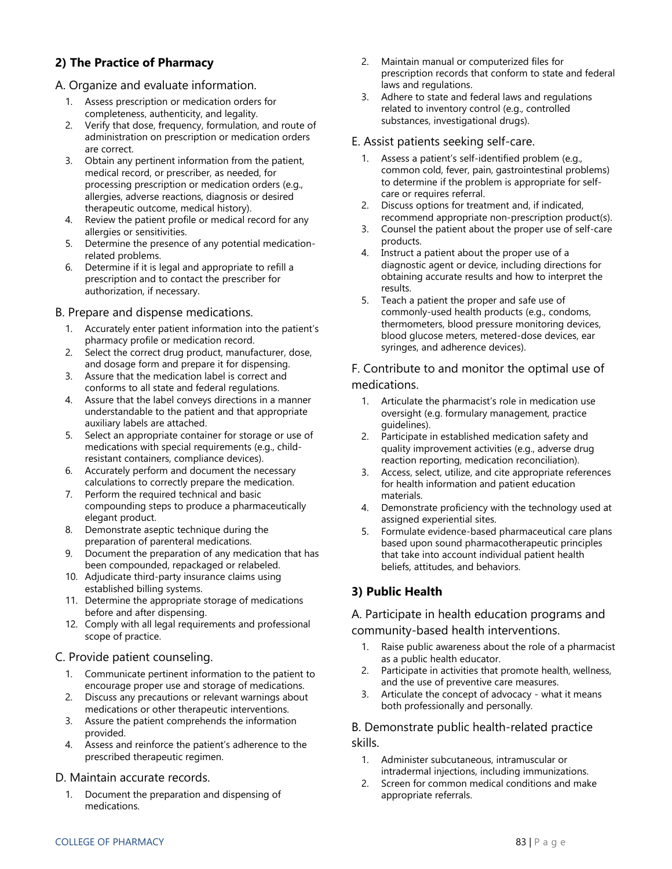### **2) The Practice of Pharmacy**

### A. Organize and evaluate information.

- 1. Assess prescription or medication orders for completeness, authenticity, and legality.
- 2. Verify that dose, frequency, formulation, and route of administration on prescription or medication orders are correct.
- 3. Obtain any pertinent information from the patient, medical record, or prescriber, as needed, for processing prescription or medication orders (e.g., allergies, adverse reactions, diagnosis or desired therapeutic outcome, medical history).
- 4. Review the patient profile or medical record for any allergies or sensitivities.
- 5. Determine the presence of any potential medicationrelated problems.
- 6. Determine if it is legal and appropriate to refill a prescription and to contact the prescriber for authorization, if necessary.

### B. Prepare and dispense medications.

- 1. Accurately enter patient information into the patient's pharmacy profile or medication record.
- 2. Select the correct drug product, manufacturer, dose, and dosage form and prepare it for dispensing.
- 3. Assure that the medication label is correct and conforms to all state and federal regulations.
- 4. Assure that the label conveys directions in a manner understandable to the patient and that appropriate auxiliary labels are attached.
- 5. Select an appropriate container for storage or use of medications with special requirements (e.g., childresistant containers, compliance devices).
- 6. Accurately perform and document the necessary calculations to correctly prepare the medication.
- 7. Perform the required technical and basic compounding steps to produce a pharmaceutically elegant product.
- 8. Demonstrate aseptic technique during the preparation of parenteral medications.
- 9. Document the preparation of any medication that has been compounded, repackaged or relabeled.
- 10. Adjudicate third-party insurance claims using established billing systems.
- 11. Determine the appropriate storage of medications before and after dispensing.
- 12. Comply with all legal requirements and professional scope of practice.

### C. Provide patient counseling.

- 1. Communicate pertinent information to the patient to encourage proper use and storage of medications.
- 2. Discuss any precautions or relevant warnings about medications or other therapeutic interventions.
- 3. Assure the patient comprehends the information provided.
- 4. Assess and reinforce the patient's adherence to the prescribed therapeutic regimen.

### D. Maintain accurate records.

1. Document the preparation and dispensing of medications.

- 2. Maintain manual or computerized files for prescription records that conform to state and federal laws and regulations.
- 3. Adhere to state and federal laws and regulations related to inventory control (e.g., controlled substances, investigational drugs).

### E. Assist patients seeking self-care.

- 1. Assess a patient's self-identified problem (e.g., common cold, fever, pain, gastrointestinal problems) to determine if the problem is appropriate for selfcare or requires referral.
- 2. Discuss options for treatment and, if indicated, recommend appropriate non-prescription product(s).
- 3. Counsel the patient about the proper use of self-care products.
- 4. Instruct a patient about the proper use of a diagnostic agent or device, including directions for obtaining accurate results and how to interpret the results.
- 5. Teach a patient the proper and safe use of commonly-used health products (e.g., condoms, thermometers, blood pressure monitoring devices, blood glucose meters, metered-dose devices, ear syringes, and adherence devices).

### F. Contribute to and monitor the optimal use of medications.

- 1. Articulate the pharmacist's role in medication use oversight (e.g. formulary management, practice guidelines).
- 2. Participate in established medication safety and quality improvement activities (e.g., adverse drug reaction reporting, medication reconciliation).
- 3. Access, select, utilize, and cite appropriate references for health information and patient education materials.
- 4. Demonstrate proficiency with the technology used at assigned experiential sites.
- 5. Formulate evidence-based pharmaceutical care plans based upon sound pharmacotherapeutic principles that take into account individual patient health beliefs, attitudes, and behaviors.

### **3) Public Health**

### A. Participate in health education programs and

### community-based health interventions.

- 1. Raise public awareness about the role of a pharmacist as a public health educator.
- 2. Participate in activities that promote health, wellness, and the use of preventive care measures.
- 3. Articulate the concept of advocacy what it means both professionally and personally.

### B. Demonstrate public health-related practice skills.

- 1. Administer subcutaneous, intramuscular or intradermal injections, including immunizations.
- 2. Screen for common medical conditions and make appropriate referrals.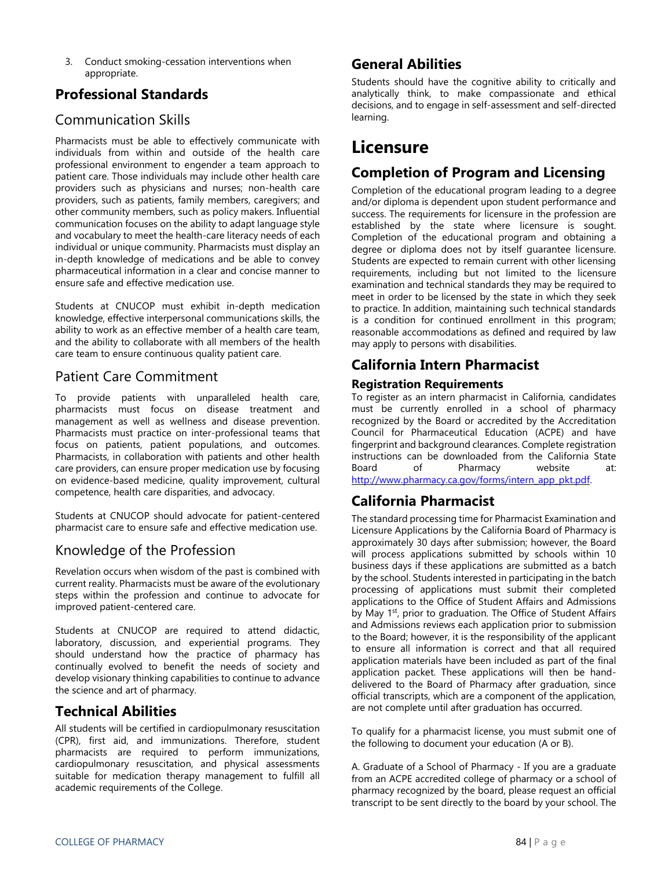3. Conduct smoking-cessation interventions when appropriate.

# **Professional Standards**

# Communication Skills

Pharmacists must be able to effectively communicate with individuals from within and outside of the health care professional environment to engender a team approach to patient care. Those individuals may include other health care providers such as physicians and nurses; non-health care providers, such as patients, family members, caregivers; and other community members, such as policy makers. Influential communication focuses on the ability to adapt language style and vocabulary to meet the health-care literacy needs of each individual or unique community. Pharmacists must display an in-depth knowledge of medications and be able to convey pharmaceutical information in a clear and concise manner to ensure safe and effective medication use.

Students at CNUCOP must exhibit in-depth medication knowledge, effective interpersonal communications skills, the ability to work as an effective member of a health care team, and the ability to collaborate with all members of the health care team to ensure continuous quality patient care.

### Patient Care Commitment

To provide patients with unparalleled health care, pharmacists must focus on disease treatment and management as well as wellness and disease prevention. Pharmacists must practice on inter-professional teams that focus on patients, patient populations, and outcomes. Pharmacists, in collaboration with patients and other health care providers, can ensure proper medication use by focusing on evidence-based medicine, quality improvement, cultural competence, health care disparities, and advocacy.

Students at CNUCOP should advocate for patient-centered pharmacist care to ensure safe and effective medication use.

# Knowledge of the Profession

Revelation occurs when wisdom of the past is combined with current reality. Pharmacists must be aware of the evolutionary steps within the profession and continue to advocate for improved patient-centered care.

Students at CNUCOP are required to attend didactic, laboratory, discussion, and experiential programs. They should understand how the practice of pharmacy has continually evolved to benefit the needs of society and develop visionary thinking capabilities to continue to advance the science and art of pharmacy.

# **Technical Abilities**

All students will be certified in cardiopulmonary resuscitation (CPR), first aid, and immunizations. Therefore, student pharmacists are required to perform immunizations, cardiopulmonary resuscitation, and physical assessments suitable for medication therapy management to fulfill all academic requirements of the College.

### **General Abilities**

Students should have the cognitive ability to critically and analytically think, to make compassionate and ethical decisions, and to engage in self-assessment and self-directed learning.

# **Licensure**

## **Completion of Program and Licensing**

Completion of the educational program leading to a degree and/or diploma is dependent upon student performance and success. The requirements for licensure in the profession are established by the state where licensure is sought. Completion of the educational program and obtaining a degree or diploma does not by itself guarantee licensure. Students are expected to remain current with other licensing requirements, including but not limited to the licensure examination and technical standards they may be required to meet in order to be licensed by the state in which they seek to practice. In addition, maintaining such technical standards is a condition for continued enrollment in this program; reasonable accommodations as defined and required by law may apply to persons with disabilities.

## **California Intern Pharmacist**

### **Registration Requirements**

To register as an intern pharmacist in California, candidates must be currently enrolled in a school of pharmacy recognized by the Board or accredited by the Accreditation Council for Pharmaceutical Education (ACPE) and have fingerprint and background clearances. Complete registration instructions can be downloaded from the California State Board of Pharmacy website at: [http://www.pharmacy.ca.gov/forms/intern\\_app\\_pkt.pdf.](http://www.pharmacy.ca.gov/forms/intern_app_pkt.pdf)

# **California Pharmacist**

The standard processing time for Pharmacist Examination and Licensure Applications by the California Board of Pharmacy is approximately 30 days after submission; however, the Board will process applications submitted by schools within 10 business days if these applications are submitted as a batch by the school. Students interested in participating in the batch processing of applications must submit their completed applications to the Office of Student Affairs and Admissions by May 1<sup>st</sup>, prior to graduation. The Office of Student Affairs and Admissions reviews each application prior to submission to the Board; however, it is the responsibility of the applicant to ensure all information is correct and that all required application materials have been included as part of the final application packet. These applications will then be handdelivered to the Board of Pharmacy after graduation, since official transcripts, which are a component of the application, are not complete until after graduation has occurred.

To qualify for a pharmacist license, you must submit one of the following to document your education (A or B).

A. Graduate of a School of Pharmacy - If you are a graduate from an ACPE accredited college of pharmacy or a school of pharmacy recognized by the board, please request an official transcript to be sent directly to the board by your school. The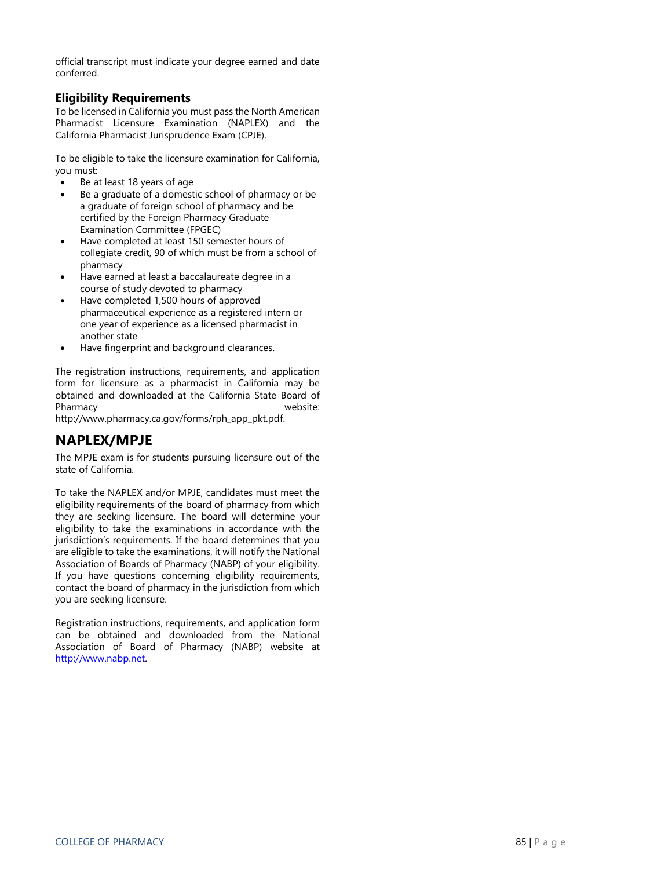official transcript must indicate your degree earned and date conferred.

### **Eligibility Requirements**

To be licensed in California you must pass the North American Pharmacist Licensure Examination (NAPLEX) and the California Pharmacist Jurisprudence Exam (CPJE).

To be eligible to take the licensure examination for California, you must:

- Be at least 18 years of age
- Be a graduate of a domestic school of pharmacy or be a graduate of foreign school of pharmacy and be certified by the Foreign Pharmacy Graduate Examination Committee (FPGEC)
- Have completed at least 150 semester hours of collegiate credit, 90 of which must be from a school of pharmacy
- Have earned at least a baccalaureate degree in a course of study devoted to pharmacy
- Have completed 1,500 hours of approved pharmaceutical experience as a registered intern or one year of experience as a licensed pharmacist in another state
- Have fingerprint and background clearances.

The registration instructions, requirements, and application form for licensure as a pharmacist in California may be obtained and downloaded at the California State Board of Pharmacy website:

http://www.pharmacy.ca.gov/forms/rph\_app\_pkt.pdf.

# **NAPLEX/MPJE**

The MPJE exam is for students pursuing licensure out of the state of California.

To take the NAPLEX and/or MPJE, candidates must meet the eligibility requirements of the board of pharmacy from which they are seeking licensure. The board will determine your eligibility to take the examinations in accordance with the jurisdiction's requirements. If the board determines that you are eligible to take the examinations, it will notify the National Association of Boards of Pharmacy (NABP) of your eligibility. If you have questions concerning eligibility requirements, contact the board of pharmacy in the jurisdiction from which you are seeking licensure.

Registration instructions, requirements, and application form can be obtained and downloaded from the National Association of Board of Pharmacy (NABP) website at [http://www.nabp.net.](http://www.nabp.net/)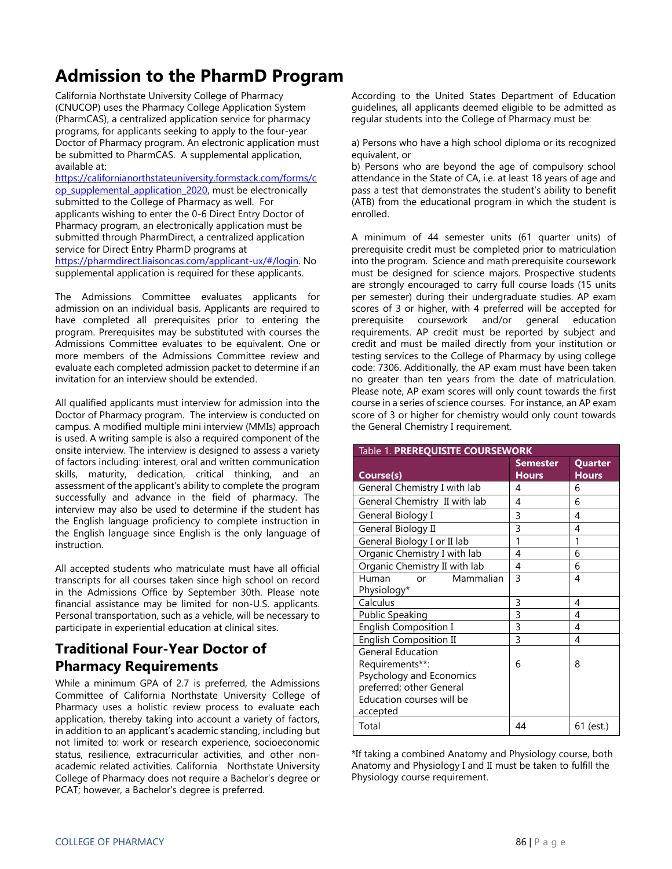# **Admission to the PharmD Program**

California Northstate University College of Pharmacy (CNUCOP) uses the Pharmacy College Application System (PharmCAS), a centralized application service for pharmacy programs, for applicants seeking to apply to the four-year Doctor of Pharmacy program. An electronic application must be submitted to PharmCAS. A supplemental application, available at:

[https://californianorthstateuniversity.formstack.com/forms/c](https://californianorthstateuniversity.formstack.com/forms/cop_supplemental_application_2020) [op\\_supplemental\\_application\\_2020,](https://californianorthstateuniversity.formstack.com/forms/cop_supplemental_application_2020) must be electronically submitted to the College of Pharmacy as well. For applicants wishing to enter the 0-6 Direct Entry Doctor of Pharmacy program, an electronically application must be submitted through PharmDirect, a centralized application service for Direct Entry PharmD programs at [https://pharmdirect.liaisoncas.com/applicant-ux/#/login.](https://pharmdirect.liaisoncas.com/applicant-ux/#/login) No supplemental application is required for these applicants.

The Admissions Committee evaluates applicants for admission on an individual basis. Applicants are required to have completed all prerequisites prior to entering the program. Prerequisites may be substituted with courses the Admissions Committee evaluates to be equivalent. One or more members of the Admissions Committee review and evaluate each completed admission packet to determine if an invitation for an interview should be extended.

All qualified applicants must interview for admission into the Doctor of Pharmacy program. The interview is conducted on campus. A modified multiple mini interview (MMIs) approach is used. A writing sample is also a required component of the onsite interview. The interview is designed to assess a variety of factors including: interest, oral and written communication skills, maturity, dedication, critical thinking, and an assessment of the applicant's ability to complete the program successfully and advance in the field of pharmacy. The interview may also be used to determine if the student has the English language proficiency to complete instruction in the English language since English is the only language of instruction.

All accepted students who matriculate must have all official transcripts for all courses taken since high school on record in the Admissions Office by September 30th. Please note financial assistance may be limited for non-U.S. applicants. Personal transportation, such as a vehicle, will be necessary to participate in experiential education at clinical sites.

## **Traditional Four-Year Doctor of Pharmacy Requirements**

While a minimum GPA of 2.7 is preferred, the Admissions Committee of California Northstate University College of Pharmacy uses a holistic review process to evaluate each application, thereby taking into account a variety of factors, in addition to an applicant's academic standing, including but not limited to: work or research experience, socioeconomic status, resilience, extracurricular activities, and other nonacademic related activities. California Northstate University College of Pharmacy does not require a Bachelor's degree or PCAT; however, a Bachelor's degree is preferred.

According to the United States Department of Education guidelines, all applicants deemed eligible to be admitted as regular students into the College of Pharmacy must be:

a) Persons who have a high school diploma or its recognized equivalent, or

b) Persons who are beyond the age of compulsory school attendance in the State of CA, i.e. at least 18 years of age and pass a test that demonstrates the student's ability to benefit (ATB) from the educational program in which the student is enrolled.

A minimum of 44 semester units (61 quarter units) of prerequisite credit must be completed prior to matriculation into the program. Science and math prerequisite coursework must be designed for science majors. Prospective students are strongly encouraged to carry full course loads (15 units per semester) during their undergraduate studies. AP exam scores of 3 or higher, with 4 preferred will be accepted for prerequisite coursework and/or general education requirements. AP credit must be reported by subject and credit and must be mailed directly from your institution or testing services to the College of Pharmacy by using college code: 7306. Additionally, the AP exam must have been taken no greater than ten years from the date of matriculation. Please note, AP exam scores will only count towards the first course in a series of science courses. For instance, an AP exam score of 3 or higher for chemistry would only count towards the General Chemistry I requirement.

| Table 1. PREREQUISITE COURSEWORK |                                 |                         |  |
|----------------------------------|---------------------------------|-------------------------|--|
| Course(s)                        | <b>Semester</b><br><b>Hours</b> | Quarter<br><b>Hours</b> |  |
| General Chemistry I with lab     | 4                               | 6                       |  |
| General Chemistry II with lab    | 4                               | 6                       |  |
| General Biology I                | 3                               | 4                       |  |
| General Biology II               | 3                               | 4                       |  |
| General Biology I or II lab      | 1                               | 1                       |  |
| Organic Chemistry I with lab     | 4                               | 6                       |  |
| Organic Chemistry II with lab    | 4                               | 6                       |  |
| Mammalian<br>Human<br>$\alpha$ r | 3                               | 4                       |  |
| Physiology*                      |                                 |                         |  |
| Calculus                         | 3                               | 4                       |  |
| <b>Public Speaking</b>           | 3                               | 4                       |  |
| <b>English Composition I</b>     | $\overline{3}$                  | 4                       |  |
| <b>English Composition II</b>    | 3                               | 4                       |  |
| <b>General Education</b>         |                                 |                         |  |
| Requirements**:                  | 6                               | 8                       |  |
| Psychology and Economics         |                                 |                         |  |
| preferred; other General         |                                 |                         |  |
| Education courses will be        |                                 |                         |  |
| accepted                         |                                 |                         |  |
| Total                            | 44                              | 61 (est.)               |  |

\*If taking a combined Anatomy and Physiology course, both Anatomy and Physiology I and II must be taken to fulfill the Physiology course requirement.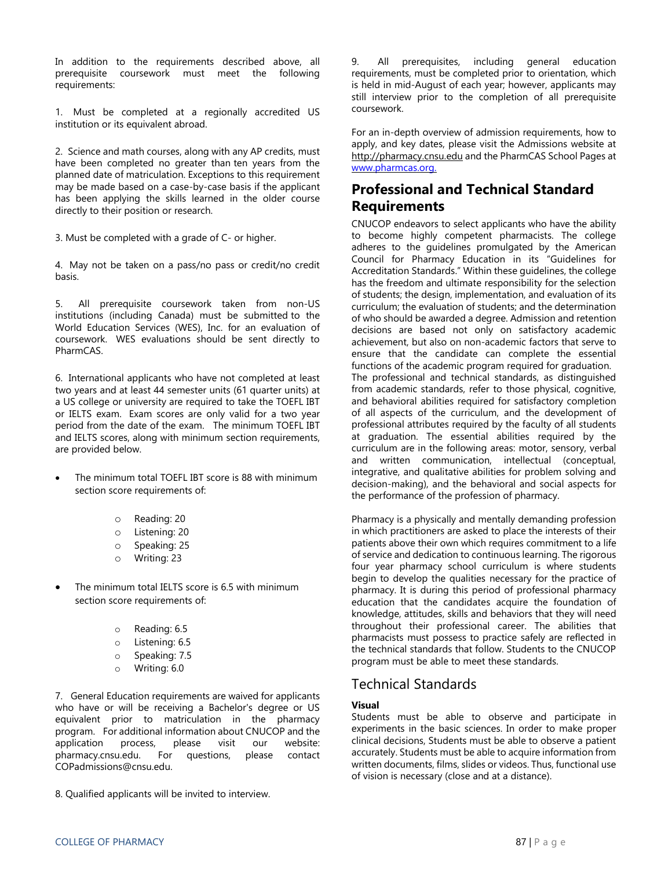In addition to the requirements described above, all prerequisite coursework must meet the following requirements:

1. Must be completed at a regionally accredited US institution or its equivalent abroad.

2. Science and math courses, along with any AP credits, must have been completed no greater than ten years from the planned date of matriculation. Exceptions to this requirement may be made based on a case-by-case basis if the applicant has been applying the skills learned in the older course directly to their position or research.

3. Must be completed with a grade of C- or higher.

4. May not be taken on a pass/no pass or credit/no credit basis.

5. All prerequisite coursework taken from non-US institutions (including Canada) must be submitted to the World Education Services (WES), Inc. for an evaluation of coursework. WES evaluations should be sent directly to PharmCAS.

6. International applicants who have not completed at least two years and at least 44 semester units (61 quarter units) at a US college or university are required to take the TOEFL IBT or IELTS exam. Exam scores are only valid for a two year period from the date of the exam. The minimum TOEFL IBT and IELTS scores, along with minimum section requirements, are provided below.

- The minimum total TOEFL IBT score is 88 with minimum section score requirements of:
	- o Reading: 20
	- o Listening: 20
	- o Speaking: 25
	- o Writing: 23
- The minimum total IELTS score is 6.5 with minimum section score requirements of:
	- o Reading: 6.5
	- o Listening: 6.5
	- o Speaking: 7.5
	- o Writing: 6.0

7. General Education requirements are waived for applicants who have or will be receiving a Bachelor's degree or US equivalent prior to matriculation in the pharmacy program. For additional information about CNUCOP and the application process, please visit our website: pharmacy.cnsu.edu. For questions, please contact COPadmissions@cnsu.edu.

8. Qualified applicants will be invited to interview.

9. All prerequisites, including general education requirements, must be completed prior to orientation, which is held in mid-August of each year; however, applicants may still interview prior to the completion of all prerequisite coursework.

For an in-depth overview of admission requirements, how to apply, and key dates, please visit the Admissions website at http://pharmacy.cnsu.edu and the PharmCAS School Pages at [www.pharmcas.org.](http://www.pharmcas.org/) 

# **Professional and Technical Standard Requirements**

CNUCOP endeavors to select applicants who have the ability to become highly competent pharmacists. The college adheres to the guidelines promulgated by the American Council for Pharmacy Education in its "Guidelines for Accreditation Standards." Within these guidelines, the college has the freedom and ultimate responsibility for the selection of students; the design, implementation, and evaluation of its curriculum; the evaluation of students; and the determination of who should be awarded a degree. Admission and retention decisions are based not only on satisfactory academic achievement, but also on non-academic factors that serve to ensure that the candidate can complete the essential functions of the academic program required for graduation. The professional and technical standards, as distinguished from academic standards, refer to those physical, cognitive, and behavioral abilities required for satisfactory completion of all aspects of the curriculum, and the development of professional attributes required by the faculty of all students at graduation. The essential abilities required by the curriculum are in the following areas: motor, sensory, verbal and written communication, intellectual (conceptual, integrative, and qualitative abilities for problem solving and decision-making), and the behavioral and social aspects for the performance of the profession of pharmacy.

Pharmacy is a physically and mentally demanding profession in which practitioners are asked to place the interests of their patients above their own which requires commitment to a life of service and dedication to continuous learning. The rigorous four year pharmacy school curriculum is where students begin to develop the qualities necessary for the practice of pharmacy. It is during this period of professional pharmacy education that the candidates acquire the foundation of knowledge, attitudes, skills and behaviors that they will need throughout their professional career. The abilities that pharmacists must possess to practice safely are reflected in the technical standards that follow. Students to the CNUCOP program must be able to meet these standards.

### Technical Standards

### **Visual**

Students must be able to observe and participate in experiments in the basic sciences. In order to make proper clinical decisions, Students must be able to observe a patient accurately. Students must be able to acquire information from written documents, films, slides or videos. Thus, functional use of vision is necessary (close and at a distance).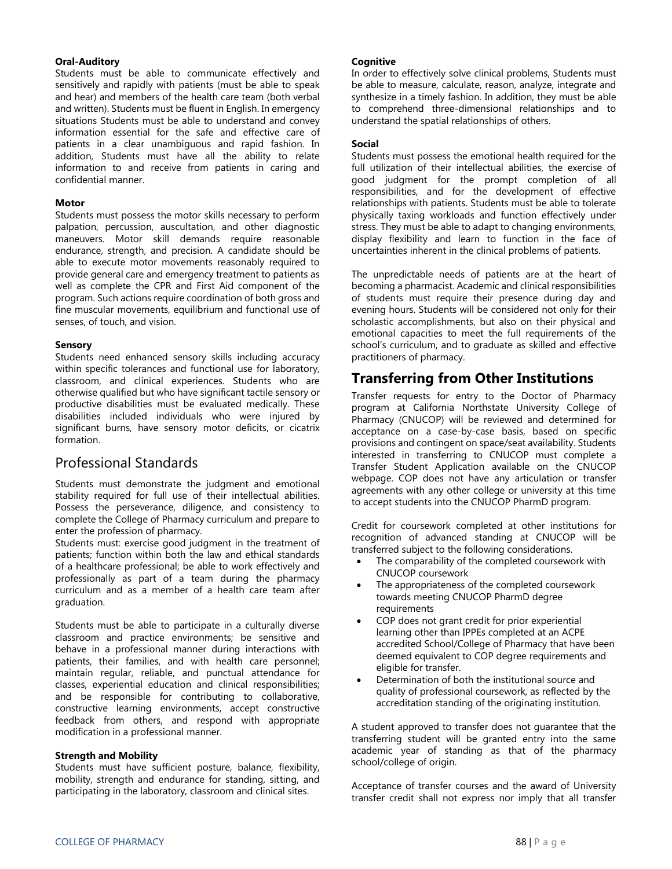### **Oral-Auditory**

Students must be able to communicate effectively and sensitively and rapidly with patients (must be able to speak and hear) and members of the health care team (both verbal and written). Students must be fluent in English. In emergency situations Students must be able to understand and convey information essential for the safe and effective care of patients in a clear unambiguous and rapid fashion. In addition, Students must have all the ability to relate information to and receive from patients in caring and confidential manner.

#### **Motor**

Students must possess the motor skills necessary to perform palpation, percussion, auscultation, and other diagnostic maneuvers. Motor skill demands require reasonable endurance, strength, and precision. A candidate should be able to execute motor movements reasonably required to provide general care and emergency treatment to patients as well as complete the CPR and First Aid component of the program. Such actions require coordination of both gross and fine muscular movements, equilibrium and functional use of senses, of touch, and vision.

#### **Sensory**

Students need enhanced sensory skills including accuracy within specific tolerances and functional use for laboratory, classroom, and clinical experiences. Students who are otherwise qualified but who have significant tactile sensory or productive disabilities must be evaluated medically. These disabilities included individuals who were injured by significant burns, have sensory motor deficits, or cicatrix formation.

### Professional Standards

Students must demonstrate the judgment and emotional stability required for full use of their intellectual abilities. Possess the perseverance, diligence, and consistency to complete the College of Pharmacy curriculum and prepare to enter the profession of pharmacy.

Students must: exercise good judgment in the treatment of patients; function within both the law and ethical standards of a healthcare professional; be able to work effectively and professionally as part of a team during the pharmacy curriculum and as a member of a health care team after graduation.

Students must be able to participate in a culturally diverse classroom and practice environments; be sensitive and behave in a professional manner during interactions with patients, their families, and with health care personnel; maintain regular, reliable, and punctual attendance for classes, experiential education and clinical responsibilities; and be responsible for contributing to collaborative, constructive learning environments, accept constructive feedback from others, and respond with appropriate modification in a professional manner.

#### **Strength and Mobility**

Students must have sufficient posture, balance, flexibility, mobility, strength and endurance for standing, sitting, and participating in the laboratory, classroom and clinical sites.

#### **Cognitive**

In order to effectively solve clinical problems, Students must be able to measure, calculate, reason, analyze, integrate and synthesize in a timely fashion. In addition, they must be able to comprehend three-dimensional relationships and to understand the spatial relationships of others.

#### **Social**

Students must possess the emotional health required for the full utilization of their intellectual abilities, the exercise of good judgment for the prompt completion of all responsibilities, and for the development of effective relationships with patients. Students must be able to tolerate physically taxing workloads and function effectively under stress. They must be able to adapt to changing environments, display flexibility and learn to function in the face of uncertainties inherent in the clinical problems of patients.

The unpredictable needs of patients are at the heart of becoming a pharmacist. Academic and clinical responsibilities of students must require their presence during day and evening hours. Students will be considered not only for their scholastic accomplishments, but also on their physical and emotional capacities to meet the full requirements of the school's curriculum, and to graduate as skilled and effective practitioners of pharmacy.

### **Transferring from Other Institutions**

Transfer requests for entry to the Doctor of Pharmacy program at California Northstate University College of Pharmacy (CNUCOP) will be reviewed and determined for acceptance on a case-by-case basis, based on specific provisions and contingent on space/seat availability. Students interested in transferring to CNUCOP must complete a Transfer Student Application available on the CNUCOP webpage. COP does not have any articulation or transfer agreements with any other college or university at this time to accept students into the CNUCOP PharmD program.

Credit for coursework completed at other institutions for recognition of advanced standing at CNUCOP will be transferred subject to the following considerations.

- The comparability of the completed coursework with CNUCOP coursework
- The appropriateness of the completed coursework towards meeting CNUCOP PharmD degree requirements
- COP does not grant credit for prior experiential learning other than IPPEs completed at an ACPE accredited School/College of Pharmacy that have been deemed equivalent to COP degree requirements and eligible for transfer.
- Determination of both the institutional source and quality of professional coursework, as reflected by the accreditation standing of the originating institution.

A student approved to transfer does not guarantee that the transferring student will be granted entry into the same academic year of standing as that of the pharmacy school/college of origin.

Acceptance of transfer courses and the award of University transfer credit shall not express nor imply that all transfer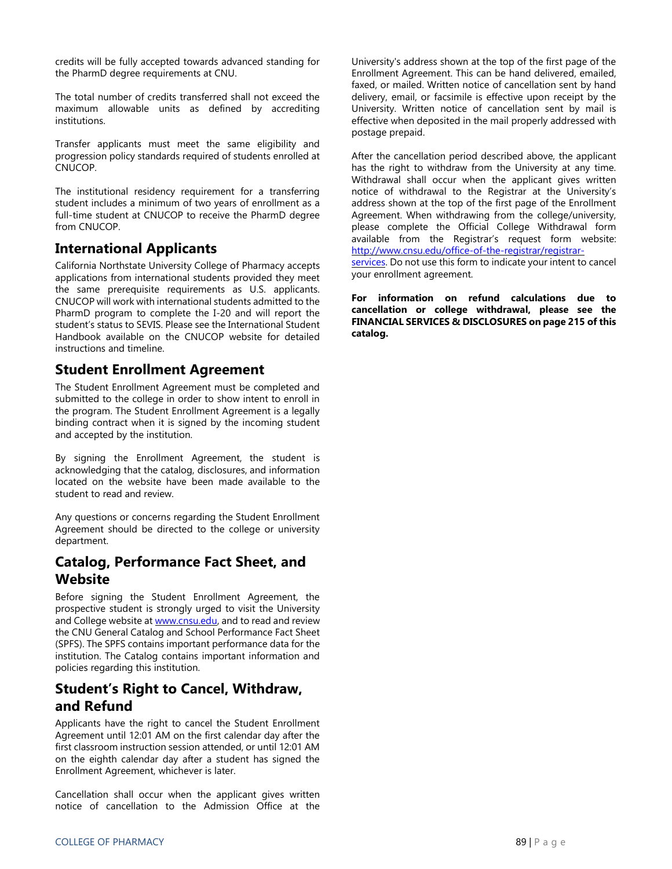credits will be fully accepted towards advanced standing for the PharmD degree requirements at CNU.

The total number of credits transferred shall not exceed the maximum allowable units as defined by accrediting institutions.

Transfer applicants must meet the same eligibility and progression policy standards required of students enrolled at CNUCOP.

The institutional residency requirement for a transferring student includes a minimum of two years of enrollment as a full-time student at CNUCOP to receive the PharmD degree from CNUCOP.

### **International Applicants**

California Northstate University College of Pharmacy accepts applications from international students provided they meet the same prerequisite requirements as U.S. applicants. CNUCOP will work with international students admitted to the PharmD program to complete the I-20 and will report the student's status to SEVIS. Please see the International Student Handbook available on the CNUCOP website for detailed instructions and timeline.

### **Student Enrollment Agreement**

The Student Enrollment Agreement must be completed and submitted to the college in order to show intent to enroll in the program. The Student Enrollment Agreement is a legally binding contract when it is signed by the incoming student and accepted by the institution.

By signing the Enrollment Agreement, the student is acknowledging that the catalog, disclosures, and information located on the website have been made available to the student to read and review.

Any questions or concerns regarding the Student Enrollment Agreement should be directed to the college or university department.

### **Catalog, Performance Fact Sheet, and Website**

Before signing the Student Enrollment Agreement, the prospective student is strongly urged to visit the University and College website at **www.cnsu.edu**, and to read and review the CNU General Catalog and School Performance Fact Sheet (SPFS). The SPFS contains important performance data for the institution. The Catalog contains important information and policies regarding this institution.

# **Student's Right to Cancel, Withdraw, and Refund**

Applicants have the right to cancel the Student Enrollment Agreement until 12:01 AM on the first calendar day after the first classroom instruction session attended, or until 12:01 AM on the eighth calendar day after a student has signed the Enrollment Agreement, whichever is later.

Cancellation shall occur when the applicant gives written notice of cancellation to the Admission Office at the

University's address shown at the top of the first page of the Enrollment Agreement. This can be hand delivered, emailed, faxed, or mailed. Written notice of cancellation sent by hand delivery, email, or facsimile is effective upon receipt by the University. Written notice of cancellation sent by mail is effective when deposited in the mail properly addressed with postage prepaid.

After the cancellation period described above, the applicant has the right to withdraw from the University at any time. Withdrawal shall occur when the applicant gives written notice of withdrawal to the Registrar at the University's address shown at the top of the first page of the Enrollment Agreement. When withdrawing from the college/university, please complete the Official College Withdrawal form available from the Registrar's request form website: [http://www.cnsu.edu/office-of-the-registrar/registrar-](http://www.cnsu.edu/office-of-the-registrar/registrar-services)

[services.](http://www.cnsu.edu/office-of-the-registrar/registrar-services) Do not use this form to indicate your intent to cancel your enrollment agreement.

**For information on refund calculations due to cancellation or college withdrawal, please see the FINANCIAL SERVICES & DISCLOSURES on page 215 of this catalog.**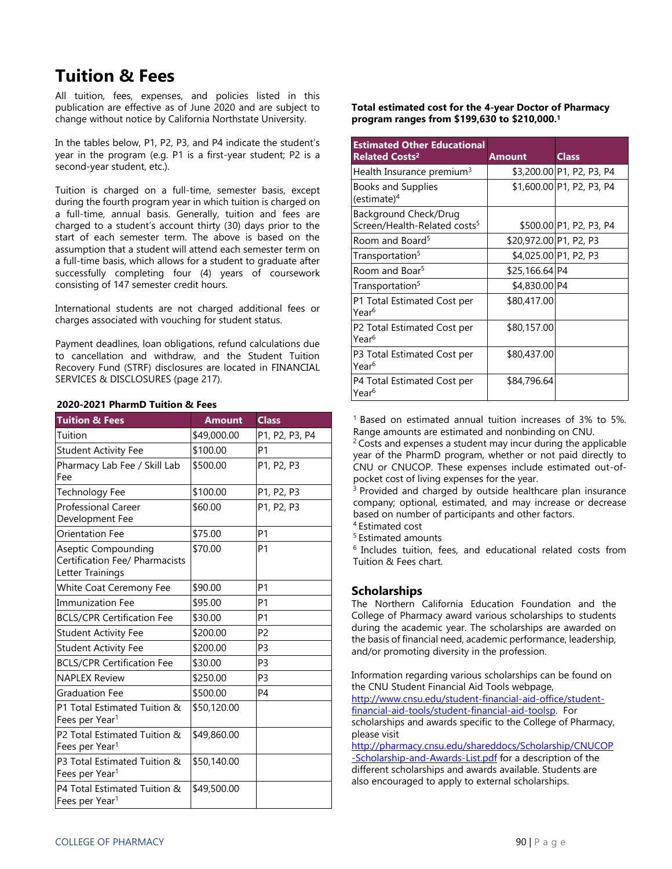# **Tuition & Fees**

All tuition, fees, expenses, and policies listed in this publication are effective as of June 2020 and are subject to change without notice by California Northstate University.

In the tables below, P1, P2, P3, and P4 indicate the student's year in the program (e.g. P1 is a first-year student; P2 is a second-year student, etc.).

Tuition is charged on a full-time, semester basis, except during the fourth program year in which tuition is charged on a full-time, annual basis. Generally, tuition and fees are charged to a student's account thirty (30) days prior to the start of each semester term. The above is based on the assumption that a student will attend each semester term on a full-time basis, which allows for a student to graduate after successfully completing four (4) years of coursework consisting of 147 semester credit hours.

International students are not charged additional fees or charges associated with vouching for student status.

Payment deadlines, loan obligations, refund calculations due to cancellation and withdraw, and the Student Tuition Recovery Fund (STRF) disclosures are located in FINANCIAL SERVICES & DISCLOSURES (page 217).

| <b>Tuition &amp; Fees</b>                                                        | <b>Amount</b> | <b>Class</b>   |
|----------------------------------------------------------------------------------|---------------|----------------|
| Tuition                                                                          | \$49,000.00   | P1, P2, P3, P4 |
| <b>Student Activity Fee</b>                                                      | \$100.00      | P <sub>1</sub> |
| Pharmacy Lab Fee / Skill Lab<br>Fee                                              | \$500.00      | P1, P2, P3     |
| Technology Fee                                                                   | \$100.00      | P1, P2, P3     |
| <b>Professional Career</b><br>Development Fee                                    | \$60.00       | P1, P2, P3     |
| <b>Orientation Fee</b>                                                           | \$75.00       | P1             |
| <b>Aseptic Compounding</b><br>Certification Fee/ Pharmacists<br>Letter Trainings | \$70.00       | P1             |
| White Coat Ceremony Fee                                                          | \$90.00       | P1             |
| <b>Immunization Fee</b>                                                          | \$95.00       | P1             |
| <b>BCLS/CPR Certification Fee</b>                                                | \$30.00       | P1             |
| <b>Student Activity Fee</b>                                                      | \$200.00      | P <sub>2</sub> |
| <b>Student Activity Fee</b>                                                      | \$200.00      | P <sub>3</sub> |
| <b>BCLS/CPR Certification Fee</b>                                                | \$30.00       | P <sub>3</sub> |
| <b>NAPLEX Review</b>                                                             | \$250.00      | P <sub>3</sub> |
| <b>Graduation Fee</b>                                                            | \$500.00      | P4             |
| P1 Total Estimated Tuition &<br>Fees per Year <sup>1</sup>                       | \$50,120.00   |                |
| P2 Total Estimated Tuition &<br>Fees per Year <sup>1</sup>                       | \$49,860.00   |                |
| P3 Total Estimated Tuition &<br>Fees per Year <sup>1</sup>                       | \$50,140.00   |                |
| P4 Total Estimated Tuition &<br>Fees per Year <sup>1</sup>                       | \$49,500.00   |                |

### **2020-2021 PharmD Tuition & Fees**

**Total estimated cost for the 4-year Doctor of Pharmacy program ranges from \$199,630 to \$210,000. 1**

| <b>Estimated Other Educational</b><br><b>Related Costs<sup>2</sup></b> | <b>Amount</b>          | <b>Class</b>              |
|------------------------------------------------------------------------|------------------------|---------------------------|
| Health Insurance premium <sup>3</sup>                                  |                        | \$3,200.00 P1, P2, P3, P4 |
| <b>Books and Supplies</b><br>(estimate) <sup>4</sup>                   |                        | \$1,600.00 P1, P2, P3, P4 |
| Background Check/Drug<br>Screen/Health-Related costs <sup>5</sup>      |                        | \$500.00 P1, P2, P3, P4   |
| Room and Board <sup>5</sup>                                            | \$20,972.00 P1, P2, P3 |                           |
| Transportation <sup>5</sup>                                            |                        | \$4,025.00 P1, P2, P3     |
| Room and Boar <sup>5</sup>                                             | \$25,166.64 P4         |                           |
| Transportation <sup>5</sup>                                            | \$4,830.00 P4          |                           |
| P1 Total Estimated Cost per<br>Year <sup>6</sup>                       | \$80,417.00            |                           |
| P2 Total Estimated Cost per<br>Year <sup>6</sup>                       | \$80,157.00            |                           |
| P3 Total Estimated Cost per<br>Year <sup>6</sup>                       | \$80,437.00            |                           |
| P4 Total Estimated Cost per<br>Year <sup>6</sup>                       | \$84,796.64            |                           |

<sup>1</sup> Based on estimated annual tuition increases of 3% to 5%. Range amounts are estimated and nonbinding on CNU.

<sup>2</sup> Costs and expenses a student may incur during the applicable year of the PharmD program, whether or not paid directly to CNU or CNUCOP. These expenses include estimated out-ofpocket cost of living expenses for the year.

<sup>3</sup> Provided and charged by outside healthcare plan insurance company; optional, estimated, and may increase or decrease based on number of participants and other factors.

<sup>4</sup> Estimated cost

<sup>5</sup> Estimated amounts

<sup>6</sup> Includes tuition, fees, and educational related costs from Tuition & Fees chart.

### **Scholarships**

The Northern California Education Foundation and the College of Pharmacy award various scholarships to students during the academic year. The scholarships are awarded on the basis of financial need, academic performance, leadership, and/or promoting diversity in the profession.

Information regarding various scholarships can be found on the CNU Student Financial Aid Tools webpage, [http://www.cnsu.edu/student-financial-aid-office/student](http://www.cnsu.edu/student-financial-aid-office/student-financial-aid-tools/student-financial-aid-toolsp)[financial-aid-tools/student-financial-aid-toolsp.](http://www.cnsu.edu/student-financial-aid-office/student-financial-aid-tools/student-financial-aid-toolsp) For scholarships and awards specific to the College of Pharmacy, please visit

[http://pharmacy.cnsu.edu/shareddocs/Scholarship/CNUCOP](http://pharmacy.cnsu.edu/shareddocs/Scholarship/CNUCOP-Scholarship-and-Awards-List.pdf) [-Scholarship-and-Awards-List.pdf](http://pharmacy.cnsu.edu/shareddocs/Scholarship/CNUCOP-Scholarship-and-Awards-List.pdf) for a description of the different scholarships and awards available. Students are also encouraged to apply to external scholarships.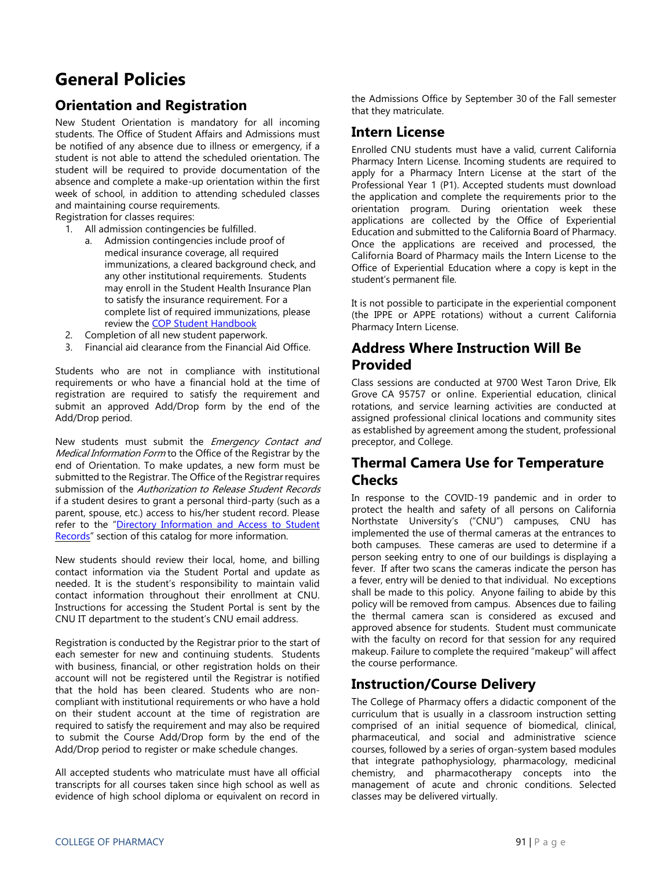# **General Policies**

# **Orientation and Registration**

New Student Orientation is mandatory for all incoming students. The Office of Student Affairs and Admissions must be notified of any absence due to illness or emergency, if a student is not able to attend the scheduled orientation. The student will be required to provide documentation of the absence and complete a make-up orientation within the first week of school, in addition to attending scheduled classes and maintaining course requirements.

Registration for classes requires:

- 1. All admission contingencies be fulfilled.
	- a. Admission contingencies include proof of medical insurance coverage, all required immunizations, a cleared background check, and any other institutional requirements. Students may enroll in the Student Health Insurance Plan to satisfy the insurance requirement. For a complete list of required immunizations, please review th[e COP Student Handbook](http://pharmacy.cnsu.edu/shareddocs/StudentHandbook.pdf)
- 2. Completion of all new student paperwork.
- 3. Financial aid clearance from the Financial Aid Office.

Students who are not in compliance with institutional requirements or who have a financial hold at the time of registration are required to satisfy the requirement and submit an approved Add/Drop form by the end of the Add/Drop period.

New students must submit the Emergency Contact and Medical Information Form to the Office of the Registrar by the end of Orientation. To make updates, a new form must be submitted to the Registrar. The Office of the Registrar requires submission of the Authorization to Release Student Records if a student desires to grant a personal third-party (such as a parent, spouse, etc.) access to his/her student record. Please refer to the "Directory Information and Access to Student Records" section of this catalog for more information.

New students should review their local, home, and billing contact information via the Student Portal and update as needed. It is the student's responsibility to maintain valid contact information throughout their enrollment at CNU. Instructions for accessing the Student Portal is sent by the CNU IT department to the student's CNU email address.

Registration is conducted by the Registrar prior to the start of each semester for new and continuing students. Students with business, financial, or other registration holds on their account will not be registered until the Registrar is notified that the hold has been cleared. Students who are noncompliant with institutional requirements or who have a hold on their student account at the time of registration are required to satisfy the requirement and may also be required to submit the Course Add/Drop form by the end of the Add/Drop period to register or make schedule changes.

All accepted students who matriculate must have all official transcripts for all courses taken since high school as well as evidence of high school diploma or equivalent on record in the Admissions Office by September 30 of the Fall semester that they matriculate.

### **Intern License**

Enrolled CNU students must have a valid, current California Pharmacy Intern License. Incoming students are required to apply for a Pharmacy Intern License at the start of the Professional Year 1 (P1). Accepted students must download the application and complete the requirements prior to the orientation program. During orientation week these applications are collected by the Office of Experiential Education and submitted to the California Board of Pharmacy. Once the applications are received and processed, the California Board of Pharmacy mails the Intern License to the Office of Experiential Education where a copy is kept in the student's permanent file.

It is not possible to participate in the experiential component (the IPPE or APPE rotations) without a current California Pharmacy Intern License.

# **Address Where Instruction Will Be Provided**

Class sessions are conducted at 9700 West Taron Drive, Elk Grove CA 95757 or online. Experiential education, clinical rotations, and service learning activities are conducted at assigned professional clinical locations and community sites as established by agreement among the student, professional preceptor, and College.

## **Thermal Camera Use for Temperature Checks**

In response to the COVID-19 pandemic and in order to protect the health and safety of all persons on California Northstate University's ("CNU") campuses, CNU has implemented the use of thermal cameras at the entrances to both campuses. These cameras are used to determine if a person seeking entry to one of our buildings is displaying a fever. If after two scans the cameras indicate the person has a fever, entry will be denied to that individual. No exceptions shall be made to this policy. Anyone failing to abide by this policy will be removed from campus. Absences due to failing the thermal camera scan is considered as excused and approved absence for students. Student must communicate with the faculty on record for that session for any required makeup. Failure to complete the required "makeup" will affect the course performance.

### **Instruction/Course Delivery**

The College of Pharmacy offers a didactic component of the curriculum that is usually in a classroom instruction setting comprised of an initial sequence of biomedical, clinical, pharmaceutical, and social and administrative science courses, followed by a series of organ-system based modules that integrate pathophysiology, pharmacology, medicinal chemistry, and pharmacotherapy concepts into the management of acute and chronic conditions. Selected classes may be delivered virtually.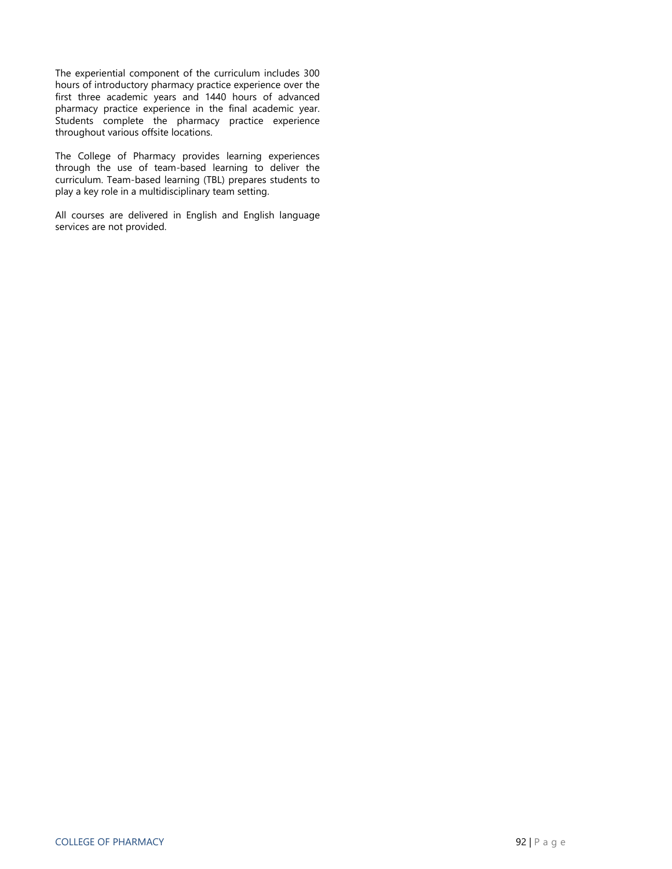The experiential component of the curriculum includes 300 hours of introductory pharmacy practice experience over the first three academic years and 1440 hours of advanced pharmacy practice experience in the final academic year. Students complete the pharmacy practice experience throughout various offsite locations.

The College of Pharmacy provides learning experiences through the use of team-based learning to deliver the curriculum. Team-based learning (TBL) prepares students to play a key role in a multidisciplinary team setting.

All courses are delivered in English and English language services are not provided.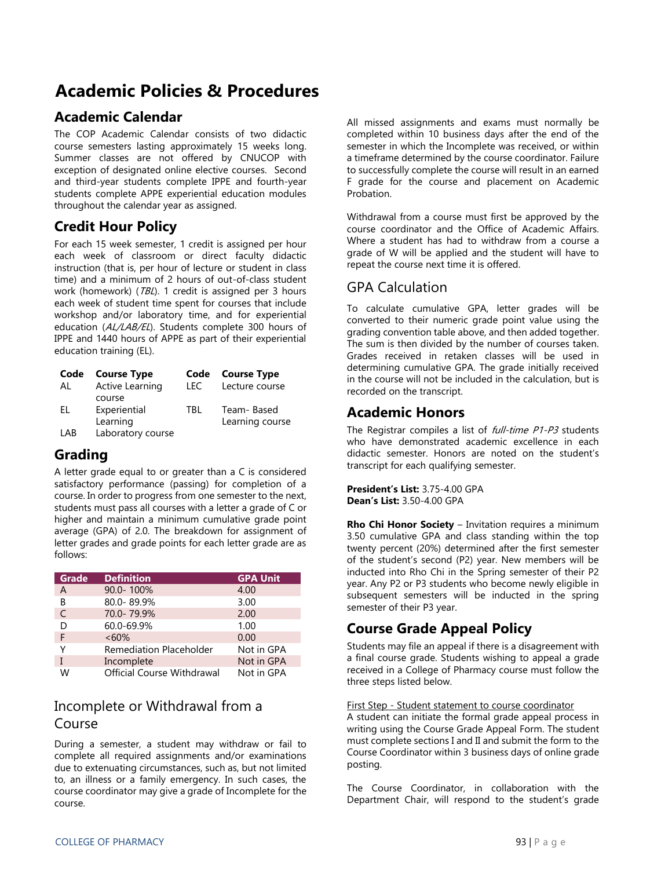# **Academic Policies & Procedures**

# **Academic Calendar**

The COP Academic Calendar consists of two didactic course semesters lasting approximately 15 weeks long. Summer classes are not offered by CNUCOP with exception of designated online elective courses. Second and third-year students complete IPPE and fourth-year students complete APPE experiential education modules throughout the calendar year as assigned.

# **Credit Hour Policy**

For each 15 week semester, 1 credit is assigned per hour each week of classroom or direct faculty didactic instruction (that is, per hour of lecture or student in class time) and a minimum of 2 hours of out-of-class student work (homework) (*TBL*). 1 credit is assigned per 3 hours each week of student time spent for courses that include workshop and/or laboratory time, and for experiential education (AL/LAB/EL). Students complete 300 hours of IPPE and 1440 hours of APPE as part of their experiential education training (EL).

|     | Code Course Type       | Code | <b>Course Type</b> |
|-----|------------------------|------|--------------------|
| AL  | <b>Active Learning</b> | LEC. | Lecture course     |
|     | course                 |      |                    |
| FL. | Experiential           | TBI. | Team-Based         |
|     | Learning               |      | Learning course    |
| LAB | Laboratory course      |      |                    |

### **Grading**

A letter grade equal to or greater than a C is considered satisfactory performance (passing) for completion of a course. In order to progress from one semester to the next, students must pass all courses with a letter a grade of C or higher and maintain a minimum cumulative grade point average (GPA) of 2.0. The breakdown for assignment of letter grades and grade points for each letter grade are as follows:

| Grade | <b>Definition</b>              | <b>GPA Unit</b> |
|-------|--------------------------------|-----------------|
| A     | 90.0-100%                      | 4.00            |
| В     | 80.0-89.9%                     | 3.00            |
| C     | 70.0-79.9%                     | 2.00            |
| D     | 60.0-69.9%                     | 1.00            |
| F     | $<60\%$                        | 0.00            |
| Υ     | <b>Remediation Placeholder</b> | Not in GPA      |
|       | Incomplete                     | Not in GPA      |
| w     | Official Course Withdrawal     | Not in GPA      |

### Incomplete or Withdrawal from a Course

During a semester, a student may withdraw or fail to complete all required assignments and/or examinations due to extenuating circumstances, such as, but not limited to, an illness or a family emergency. In such cases, the course coordinator may give a grade of Incomplete for the course.

All missed assignments and exams must normally be completed within 10 business days after the end of the semester in which the Incomplete was received, or within a timeframe determined by the course coordinator. Failure to successfully complete the course will result in an earned F grade for the course and placement on Academic Probation.

Withdrawal from a course must first be approved by the course coordinator and the Office of Academic Affairs. Where a student has had to withdraw from a course a grade of W will be applied and the student will have to repeat the course next time it is offered.

### GPA Calculation

To calculate cumulative GPA, letter grades will be converted to their numeric grade point value using the grading convention table above, and then added together. The sum is then divided by the number of courses taken. Grades received in retaken classes will be used in determining cumulative GPA. The grade initially received in the course will not be included in the calculation, but is recorded on the transcript.

### **Academic Honors**

The Registrar compiles a list of *full-time P1-P3* students who have demonstrated academic excellence in each didactic semester. Honors are noted on the student's transcript for each qualifying semester.

**President's List:** 3.75-4.00 GPA **Dean's List:** 3.50-4.00 GPA

**Rho Chi Honor Society** – Invitation requires a minimum 3.50 cumulative GPA and class standing within the top twenty percent (20%) determined after the first semester of the student's second (P2) year. New members will be inducted into Rho Chi in the Spring semester of their P2 year. Any P2 or P3 students who become newly eligible in subsequent semesters will be inducted in the spring semester of their P3 year.

# **Course Grade Appeal Policy**

Students may file an appeal if there is a disagreement with a final course grade. Students wishing to appeal a grade received in a College of Pharmacy course must follow the three steps listed below.

### First Step - Student statement to course coordinator

A student can initiate the formal grade appeal process in writing using the Course Grade Appeal Form. The student must complete sections I and II and submit the form to the Course Coordinator within 3 business days of online grade posting.

The Course Coordinator, in collaboration with the Department Chair, will respond to the student's grade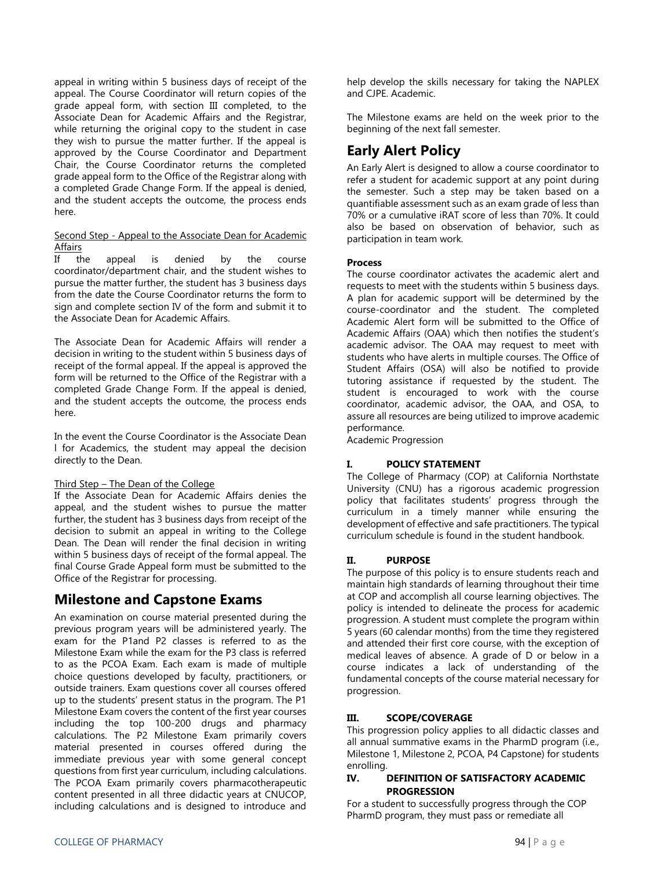appeal in writing within 5 business days of receipt of the appeal. The Course Coordinator will return copies of the grade appeal form, with section III completed, to the Associate Dean for Academic Affairs and the Registrar, while returning the original copy to the student in case they wish to pursue the matter further. If the appeal is approved by the Course Coordinator and Department Chair, the Course Coordinator returns the completed grade appeal form to the Office of the Registrar along with a completed Grade Change Form. If the appeal is denied, and the student accepts the outcome, the process ends here.

### Second Step - Appeal to the Associate Dean for Academic **Affairs**

If the appeal is denied by the course coordinator/department chair, and the student wishes to pursue the matter further, the student has 3 business days from the date the Course Coordinator returns the form to sign and complete section IV of the form and submit it to the Associate Dean for Academic Affairs.

The Associate Dean for Academic Affairs will render a decision in writing to the student within 5 business days of receipt of the formal appeal. If the appeal is approved the form will be returned to the Office of the Registrar with a completed Grade Change Form. If the appeal is denied, and the student accepts the outcome, the process ends here.

In the event the Course Coordinator is the Associate Dean l for Academics, the student may appeal the decision directly to the Dean.

### Third Step – The Dean of the College

If the Associate Dean for Academic Affairs denies the appeal, and the student wishes to pursue the matter further, the student has 3 business days from receipt of the decision to submit an appeal in writing to the College Dean. The Dean will render the final decision in writing within 5 business days of receipt of the formal appeal. The final Course Grade Appeal form must be submitted to the Office of the Registrar for processing.

### **Milestone and Capstone Exams**

An examination on course material presented during the previous program years will be administered yearly. The exam for the P1and P2 classes is referred to as the Milestone Exam while the exam for the P3 class is referred to as the PCOA Exam. Each exam is made of multiple choice questions developed by faculty, practitioners, or outside trainers. Exam questions cover all courses offered up to the students' present status in the program. The P1 Milestone Exam covers the content of the first year courses including the top 100-200 drugs and pharmacy calculations. The P2 Milestone Exam primarily covers material presented in courses offered during the immediate previous year with some general concept questions from first year curriculum, including calculations. The PCOA Exam primarily covers pharmacotherapeutic content presented in all three didactic years at CNUCOP, including calculations and is designed to introduce and

help develop the skills necessary for taking the NAPLEX and CJPE. Academic.

The Milestone exams are held on the week prior to the beginning of the next fall semester.

## **Early Alert Policy**

An Early Alert is designed to allow a course coordinator to refer a student for academic support at any point during the semester. Such a step may be taken based on a quantifiable assessment such as an exam grade of less than 70% or a cumulative iRAT score of less than 70%. It could also be based on observation of behavior, such as participation in team work.

### **Process**

The course coordinator activates the academic alert and requests to meet with the students within 5 business days. A plan for academic support will be determined by the course-coordinator and the student. The completed Academic Alert form will be submitted to the Office of Academic Affairs (OAA) which then notifies the student's academic advisor. The OAA may request to meet with students who have alerts in multiple courses. The Office of Student Affairs (OSA) will also be notified to provide tutoring assistance if requested by the student. The student is encouraged to work with the course coordinator, academic advisor, the OAA, and OSA, to assure all resources are being utilized to improve academic performance.

Academic Progression

### **I. POLICY STATEMENT**

The College of Pharmacy (COP) at California Northstate University (CNU) has a rigorous academic progression policy that facilitates students' progress through the curriculum in a timely manner while ensuring the development of effective and safe practitioners. The typical curriculum schedule is found in the student handbook.

### **II. PURPOSE**

The purpose of this policy is to ensure students reach and maintain high standards of learning throughout their time at COP and accomplish all course learning objectives. The policy is intended to delineate the process for academic progression. A student must complete the program within 5 years (60 calendar months) from the time they registered and attended their first core course, with the exception of medical leaves of absence. A grade of D or below in a course indicates a lack of understanding of the fundamental concepts of the course material necessary for progression.

### **III. SCOPE/COVERAGE**

This progression policy applies to all didactic classes and all annual summative exams in the PharmD program (i.e., Milestone 1, Milestone 2, PCOA, P4 Capstone) for students enrolling.

### **IV. DEFINITION OF SATISFACTORY ACADEMIC PROGRESSION**

For a student to successfully progress through the COP PharmD program, they must pass or remediate all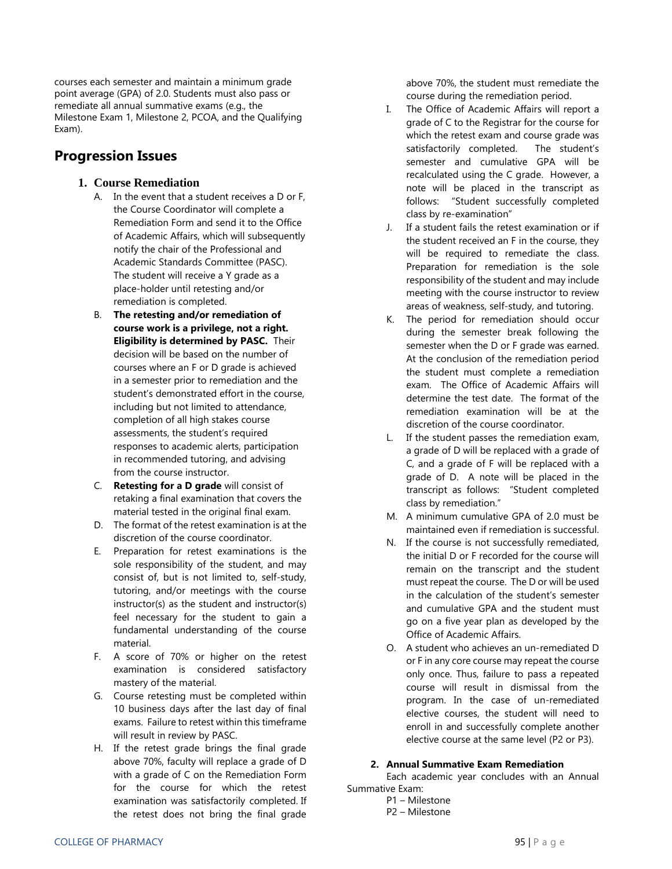courses each semester and maintain a minimum grade point average (GPA) of 2.0. Students must also pass or remediate all annual summative exams (e.g., the Milestone Exam 1, Milestone 2, PCOA, and the Qualifying Exam).

## **Progression Issues**

### **1. Course Remediation**

- A. In the event that a student receives a D or F, the Course Coordinator will complete a Remediation Form and send it to the Office of Academic Affairs, which will subsequently notify the chair of the Professional and Academic Standards Committee (PASC). The student will receive a Y grade as a place-holder until retesting and/or remediation is completed.
- B. **The retesting and/or remediation of course work is a privilege, not a right. Eligibility is determined by PASC.** Their decision will be based on the number of courses where an F or D grade is achieved in a semester prior to remediation and the student's demonstrated effort in the course, including but not limited to attendance, completion of all high stakes course assessments, the student's required responses to academic alerts, participation in recommended tutoring, and advising from the course instructor.
- C. **Retesting for a D grade** will consist of retaking a final examination that covers the material tested in the original final exam.
- D. The format of the retest examination is at the discretion of the course coordinator.
- E. Preparation for retest examinations is the sole responsibility of the student, and may consist of, but is not limited to, self-study, tutoring, and/or meetings with the course instructor(s) as the student and instructor(s) feel necessary for the student to gain a fundamental understanding of the course material.
- F. A score of 70% or higher on the retest examination is considered satisfactory mastery of the material.
- G. Course retesting must be completed within 10 business days after the last day of final exams. Failure to retest within this timeframe will result in review by PASC.
- H. If the retest grade brings the final grade above 70%, faculty will replace a grade of D with a grade of C on the Remediation Form for the course for which the retest examination was satisfactorily completed. If the retest does not bring the final grade

above 70%, the student must remediate the course during the remediation period.

- I. The Office of Academic Affairs will report a grade of C to the Registrar for the course for which the retest exam and course grade was satisfactorily completed. The student's semester and cumulative GPA will be recalculated using the C grade. However, a note will be placed in the transcript as follows: "Student successfully completed class by re-examination"
- J. If a student fails the retest examination or if the student received an F in the course, they will be required to remediate the class. Preparation for remediation is the sole responsibility of the student and may include meeting with the course instructor to review areas of weakness, self-study, and tutoring.
- K. The period for remediation should occur during the semester break following the semester when the D or F grade was earned. At the conclusion of the remediation period the student must complete a remediation exam. The Office of Academic Affairs will determine the test date. The format of the remediation examination will be at the discretion of the course coordinator.
- L. If the student passes the remediation exam, a grade of D will be replaced with a grade of C, and a grade of F will be replaced with a grade of D. A note will be placed in the transcript as follows: "Student completed class by remediation."
- M. A minimum cumulative GPA of 2.0 must be maintained even if remediation is successful.
- N. If the course is not successfully remediated, the initial D or F recorded for the course will remain on the transcript and the student must repeat the course. The D or will be used in the calculation of the student's semester and cumulative GPA and the student must go on a five year plan as developed by the Office of Academic Affairs.
- O. A student who achieves an un-remediated D or F in any core course may repeat the course only once. Thus, failure to pass a repeated course will result in dismissal from the program. In the case of un-remediated elective courses, the student will need to enroll in and successfully complete another elective course at the same level (P2 or P3).

### **2. Annual Summative Exam Remediation**

Each academic year concludes with an Annual Summative Exam:

P1 – Milestone P2 – Milestone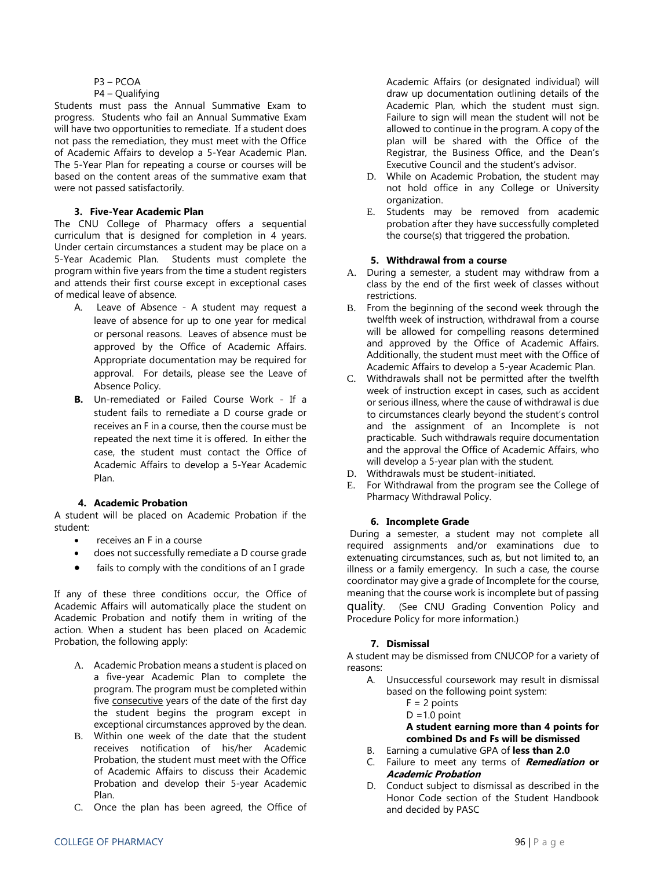### P3 – PCOA

### P4 – Qualifying

Students must pass the Annual Summative Exam to progress. Students who fail an Annual Summative Exam will have two opportunities to remediate. If a student does not pass the remediation, they must meet with the Office of Academic Affairs to develop a 5-Year Academic Plan. The 5-Year Plan for repeating a course or courses will be based on the content areas of the summative exam that were not passed satisfactorily.

### **3. Five-Year Academic Plan**

The CNU College of Pharmacy offers a sequential curriculum that is designed for completion in 4 years. Under certain circumstances a student may be place on a 5-Year Academic Plan. Students must complete the program within five years from the time a student registers and attends their first course except in exceptional cases of medical leave of absence.

- A. Leave of Absence A student may request a leave of absence for up to one year for medical or personal reasons. Leaves of absence must be approved by the Office of Academic Affairs. Appropriate documentation may be required for approval. For details, please see the Leave of Absence Policy.
- **B.** Un-remediated or Failed Course Work If a student fails to remediate a D course grade or receives an F in a course, then the course must be repeated the next time it is offered. In either the case, the student must contact the Office of Academic Affairs to develop a 5-Year Academic Plan.

### **4. Academic Probation**

A student will be placed on Academic Probation if the student:

- receives an F in a course
- does not successfully remediate a D course grade
- fails to comply with the conditions of an I grade

If any of these three conditions occur, the Office of Academic Affairs will automatically place the student on Academic Probation and notify them in writing of the action. When a student has been placed on Academic Probation, the following apply:

- A. Academic Probation means a student is placed on a five-year Academic Plan to complete the program. The program must be completed within five consecutive years of the date of the first day the student begins the program except in exceptional circumstances approved by the dean.
- B. Within one week of the date that the student receives notification of his/her Academic Probation, the student must meet with the Office of Academic Affairs to discuss their Academic Probation and develop their 5-year Academic Plan.
- C. Once the plan has been agreed, the Office of

Academic Affairs (or designated individual) will draw up documentation outlining details of the Academic Plan, which the student must sign. Failure to sign will mean the student will not be allowed to continue in the program. A copy of the plan will be shared with the Office of the Registrar, the Business Office, and the Dean's Executive Council and the student's advisor.

- D. While on Academic Probation, the student may not hold office in any College or University organization.
- E. Students may be removed from academic probation after they have successfully completed the course(s) that triggered the probation.

### **5. Withdrawal from a course**

- A. During a semester, a student may withdraw from a class by the end of the first week of classes without restrictions.
- B. From the beginning of the second week through the twelfth week of instruction, withdrawal from a course will be allowed for compelling reasons determined and approved by the Office of Academic Affairs. Additionally, the student must meet with the Office of Academic Affairs to develop a 5-year Academic Plan.
- C. Withdrawals shall not be permitted after the twelfth week of instruction except in cases, such as accident or serious illness, where the cause of withdrawal is due to circumstances clearly beyond the student's control and the assignment of an Incomplete is not practicable. Such withdrawals require documentation and the approval the Office of Academic Affairs, who will develop a 5-year plan with the student.
- D. Withdrawals must be student-initiated.
- E. For Withdrawal from the program see the College of Pharmacy Withdrawal Policy.

### **6. Incomplete Grade**

During a semester, a student may not complete all required assignments and/or examinations due to extenuating circumstances, such as, but not limited to, an illness or a family emergency. In such a case, the course coordinator may give a grade of Incomplete for the course, meaning that the course work is incomplete but of passing quality. (See CNU Grading Convention Policy and Procedure Policy for more information.)

### **7. Dismissal**

A student may be dismissed from CNUCOP for a variety of reasons:

- A. Unsuccessful coursework may result in dismissal based on the following point system:
	- $F = 2$  points
	- $D = 1.0$  point

**A student earning more than 4 points for combined Ds and Fs will be dismissed**

- B. Earning a cumulative GPA of **less than 2.0**
- C. Failure to meet any terms of **Remediation or Academic Probation**
- D. Conduct subject to dismissal as described in the Honor Code section of the Student Handbook and decided by PASC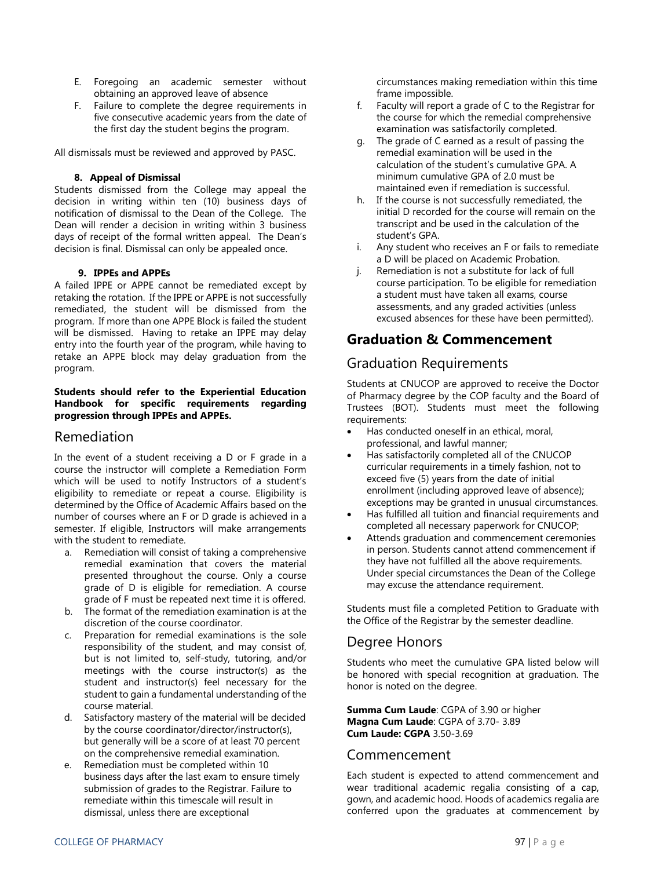- E. Foregoing an academic semester without obtaining an approved leave of absence
- F. Failure to complete the degree requirements in five consecutive academic years from the date of the first day the student begins the program.

All dismissals must be reviewed and approved by PASC.

### **8. Appeal of Dismissal**

Students dismissed from the College may appeal the decision in writing within ten (10) business days of notification of dismissal to the Dean of the College. The Dean will render a decision in writing within 3 business days of receipt of the formal written appeal. The Dean's decision is final. Dismissal can only be appealed once.

### **9. IPPEs and APPEs**

A failed IPPE or APPE cannot be remediated except by retaking the rotation. If the IPPE or APPE is not successfully remediated, the student will be dismissed from the program. If more than one APPE Block is failed the student will be dismissed. Having to retake an IPPE may delay entry into the fourth year of the program, while having to retake an APPE block may delay graduation from the program.

### **Students should refer to the Experiential Education Handbook for specific requirements regarding progression through IPPEs and APPEs.**

### Remediation

In the event of a student receiving a D or F grade in a course the instructor will complete a Remediation Form which will be used to notify Instructors of a student's eligibility to remediate or repeat a course. Eligibility is determined by the Office of Academic Affairs based on the number of courses where an F or D grade is achieved in a semester. If eligible, Instructors will make arrangements with the student to remediate.

- a. Remediation will consist of taking a comprehensive remedial examination that covers the material presented throughout the course. Only a course grade of D is eligible for remediation. A course grade of F must be repeated next time it is offered.
- b. The format of the remediation examination is at the discretion of the course coordinator.
- c. Preparation for remedial examinations is the sole responsibility of the student, and may consist of, but is not limited to, self-study, tutoring, and/or meetings with the course instructor(s) as the student and instructor(s) feel necessary for the student to gain a fundamental understanding of the course material.
- d. Satisfactory mastery of the material will be decided by the course coordinator/director/instructor(s), but generally will be a score of at least 70 percent on the comprehensive remedial examination.
- e. Remediation must be completed within 10 business days after the last exam to ensure timely submission of grades to the Registrar. Failure to remediate within this timescale will result in dismissal, unless there are exceptional

circumstances making remediation within this time frame impossible.

- f. Faculty will report a grade of C to the Registrar for the course for which the remedial comprehensive examination was satisfactorily completed.
- g. The grade of C earned as a result of passing the remedial examination will be used in the calculation of the student's cumulative GPA. A minimum cumulative GPA of 2.0 must be maintained even if remediation is successful.
- h. If the course is not successfully remediated, the initial D recorded for the course will remain on the transcript and be used in the calculation of the student's GPA.
- i. Any student who receives an F or fails to remediate a D will be placed on Academic Probation.
- j. Remediation is not a substitute for lack of full course participation. To be eligible for remediation a student must have taken all exams, course assessments, and any graded activities (unless excused absences for these have been permitted).

## **Graduation & Commencement**

### Graduation Requirements

Students at CNUCOP are approved to receive the Doctor of Pharmacy degree by the COP faculty and the Board of Trustees (BOT). Students must meet the following requirements:

- Has conducted oneself in an ethical, moral, professional, and lawful manner;
- Has satisfactorily completed all of the CNUCOP curricular requirements in a timely fashion, not to exceed five (5) years from the date of initial enrollment (including approved leave of absence); exceptions may be granted in unusual circumstances.
- Has fulfilled all tuition and financial requirements and completed all necessary paperwork for CNUCOP;
- Attends graduation and commencement ceremonies in person. Students cannot attend commencement if they have not fulfilled all the above requirements. Under special circumstances the Dean of the College may excuse the attendance requirement.

Students must file a completed Petition to Graduate with the Office of the Registrar by the semester deadline.

### Degree Honors

Students who meet the cumulative GPA listed below will be honored with special recognition at graduation. The honor is noted on the degree.

**Summa Cum Laude**: CGPA of 3.90 or higher **Magna Cum Laude**: CGPA of 3.70- 3.89 **Cum Laude: CGPA** 3.50-3.69

### Commencement

Each student is expected to attend commencement and wear traditional academic regalia consisting of a cap, gown, and academic hood. Hoods of academics regalia are conferred upon the graduates at commencement by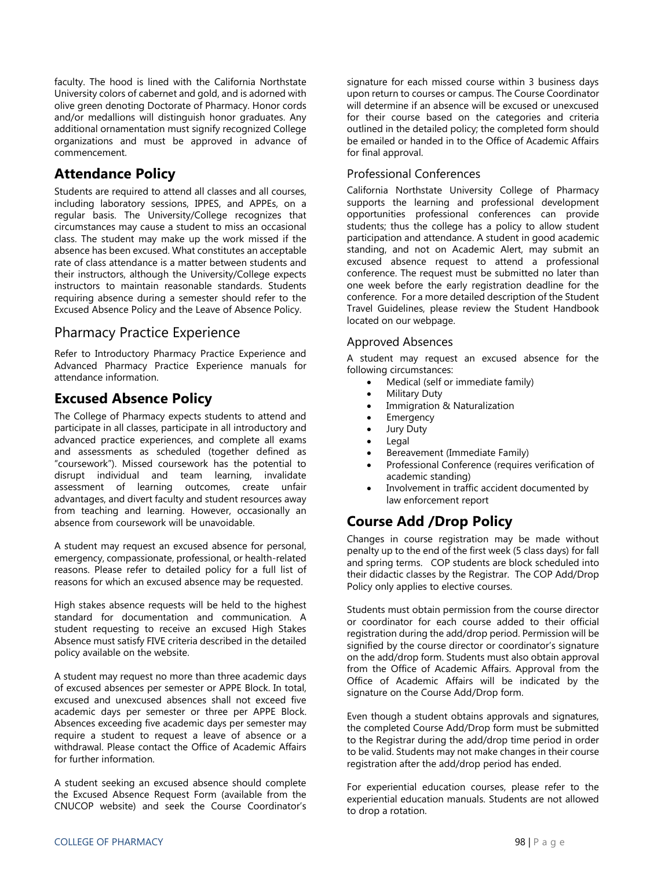faculty. The hood is lined with the California Northstate University colors of cabernet and gold, and is adorned with olive green denoting Doctorate of Pharmacy. Honor cords and/or medallions will distinguish honor graduates. Any additional ornamentation must signify recognized College organizations and must be approved in advance of commencement.

### **Attendance Policy**

Students are required to attend all classes and all courses, including laboratory sessions, IPPES, and APPEs, on a regular basis. The University/College recognizes that circumstances may cause a student to miss an occasional class. The student may make up the work missed if the absence has been excused. What constitutes an acceptable rate of class attendance is a matter between students and their instructors, although the University/College expects instructors to maintain reasonable standards. Students requiring absence during a semester should refer to the Excused Absence Policy and the Leave of Absence Policy.

### Pharmacy Practice Experience

Refer to Introductory Pharmacy Practice Experience and Advanced Pharmacy Practice Experience manuals for attendance information.

### **Excused Absence Policy**

The College of Pharmacy expects students to attend and participate in all classes, participate in all introductory and advanced practice experiences, and complete all exams and assessments as scheduled (together defined as "coursework"). Missed coursework has the potential to disrupt individual and team learning, invalidate assessment of learning outcomes, create unfair advantages, and divert faculty and student resources away from teaching and learning. However, occasionally an absence from coursework will be unavoidable.

A student may request an excused absence for personal, emergency, compassionate, professional, or health-related reasons. Please refer to detailed policy for a full list of reasons for which an excused absence may be requested.

High stakes absence requests will be held to the highest standard for documentation and communication. A student requesting to receive an excused High Stakes Absence must satisfy FIVE criteria described in the detailed policy available on the website.

A student may request no more than three academic days of excused absences per semester or APPE Block. In total, excused and unexcused absences shall not exceed five academic days per semester or three per APPE Block. Absences exceeding five academic days per semester may require a student to request a leave of absence or a withdrawal. Please contact the Office of Academic Affairs for further information.

A student seeking an excused absence should complete the Excused Absence Request Form (available from the CNUCOP website) and seek the Course Coordinator's signature for each missed course within 3 business days upon return to courses or campus. The Course Coordinator will determine if an absence will be excused or unexcused for their course based on the categories and criteria outlined in the detailed policy; the completed form should be emailed or handed in to the Office of Academic Affairs for final approval.

### Professional Conferences

California Northstate University College of Pharmacy supports the learning and professional development opportunities professional conferences can provide students; thus the college has a policy to allow student participation and attendance. A student in good academic standing, and not on Academic Alert, may submit an excused absence request to attend a professional conference. The request must be submitted no later than one week before the early registration deadline for the conference. For a more detailed description of the Student Travel Guidelines, please review the Student Handbook located on our webpage.

### Approved Absences

A student may request an excused absence for the following circumstances:

- Medical (self or immediate family)
- Military Duty
- Immigration & Naturalization
- Emergency
- Jury Duty
- Legal
- **•** Bereavement (Immediate Family)
- Professional Conference (requires verification of academic standing)
- Involvement in traffic accident documented by law enforcement report

# **Course Add /Drop Policy**

Changes in course registration may be made without penalty up to the end of the first week (5 class days) for fall and spring terms. COP students are block scheduled into their didactic classes by the Registrar. The COP Add/Drop Policy only applies to elective courses.

Students must obtain permission from the course director or coordinator for each course added to their official registration during the add/drop period. Permission will be signified by the course director or coordinator's signature on the add/drop form. Students must also obtain approval from the Office of Academic Affairs. Approval from the Office of Academic Affairs will be indicated by the signature on the Course Add/Drop form.

Even though a student obtains approvals and signatures, the completed Course Add/Drop form must be submitted to the Registrar during the add/drop time period in order to be valid. Students may not make changes in their course registration after the add/drop period has ended.

For experiential education courses, please refer to the experiential education manuals. Students are not allowed to drop a rotation.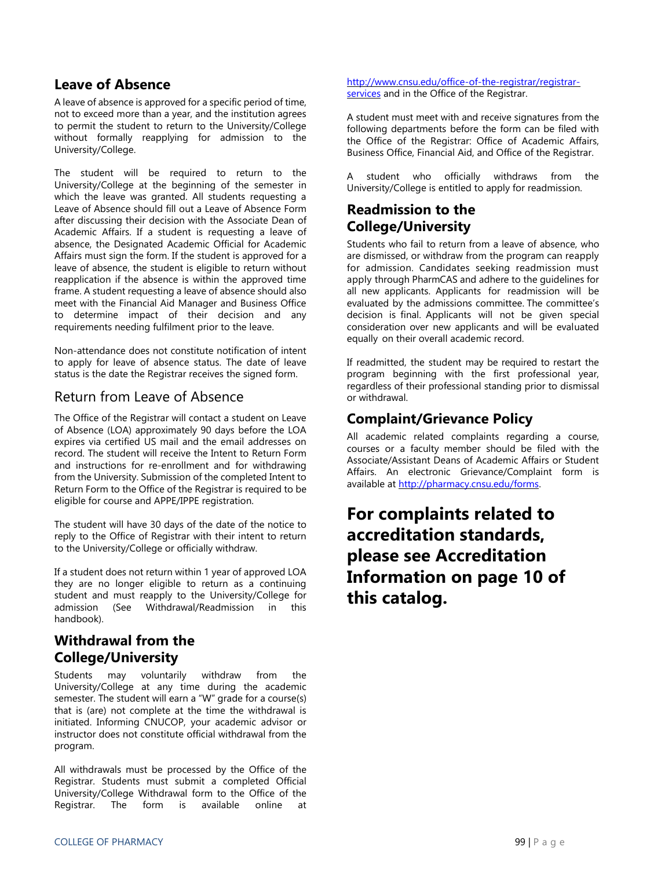### **Leave of Absence**

A leave of absence is approved for a specific period of time, not to exceed more than a year, and the institution agrees to permit the student to return to the University/College without formally reapplying for admission to the University/College.

The student will be required to return to the University/College at the beginning of the semester in which the leave was granted. All students requesting a Leave of Absence should fill out a Leave of Absence Form after discussing their decision with the Associate Dean of Academic Affairs. If a student is requesting a leave of absence, the Designated Academic Official for Academic Affairs must sign the form. If the student is approved for a leave of absence, the student is eligible to return without reapplication if the absence is within the approved time frame. A student requesting a leave of absence should also meet with the Financial Aid Manager and Business Office to determine impact of their decision and any requirements needing fulfilment prior to the leave.

Non-attendance does not constitute notification of intent to apply for leave of absence status. The date of leave status is the date the Registrar receives the signed form.

### Return from Leave of Absence

The Office of the Registrar will contact a student on Leave of Absence (LOA) approximately 90 days before the LOA expires via certified US mail and the email addresses on record. The student will receive the Intent to Return Form and instructions for re-enrollment and for withdrawing from the University. Submission of the completed Intent to Return Form to the Office of the Registrar is required to be eligible for course and APPE/IPPE registration.

The student will have 30 days of the date of the notice to reply to the Office of Registrar with their intent to return to the University/College or officially withdraw.

If a student does not return within 1 year of approved LOA they are no longer eligible to return as a continuing student and must reapply to the University/College for admission (See Withdrawal/Readmission in this handbook).

### **Withdrawal from the College/University**

Students may voluntarily withdraw from the University/College at any time during the academic semester. The student will earn a "W" grade for a course(s) that is (are) not complete at the time the withdrawal is initiated. Informing CNUCOP, your academic advisor or instructor does not constitute official withdrawal from the program.

All withdrawals must be processed by the Office of the Registrar. Students must submit a completed Official University/College Withdrawal form to the Office of the Registrar. The form is available online at [http://www.cnsu.edu/office-of-the-registrar/registrar](http://www.cnsu.edu/office-of-the-registrar/registrar-services)[services](http://www.cnsu.edu/office-of-the-registrar/registrar-services) and in the Office of the Registrar.

A student must meet with and receive signatures from the following departments before the form can be filed with the Office of the Registrar: Office of Academic Affairs, Business Office, Financial Aid, and Office of the Registrar.

student who officially withdraws from the University/College is entitled to apply for readmission.

# **Readmission to the College/University**

Students who fail to return from a leave of absence, who are dismissed, or withdraw from the program can reapply for admission. Candidates seeking readmission must apply through PharmCAS and adhere to the guidelines for all new applicants. Applicants for readmission will be evaluated by the admissions committee. The committee's decision is final. Applicants will not be given special consideration over new applicants and will be evaluated equally on their overall academic record.

If readmitted, the student may be required to restart the program beginning with the first professional year, regardless of their professional standing prior to dismissal or withdrawal.

## **Complaint/Grievance Policy**

All academic related complaints regarding a course, courses or a faculty member should be filed with the Associate/Assistant Deans of Academic Affairs or Student Affairs. An electronic Grievance/Complaint form is available at [http://pharmacy.cnsu.edu/forms.](http://pharmacy.cnsu.edu/forms)

# **For complaints related to accreditation standards, please see Accreditation Information on page 10 of this catalog.**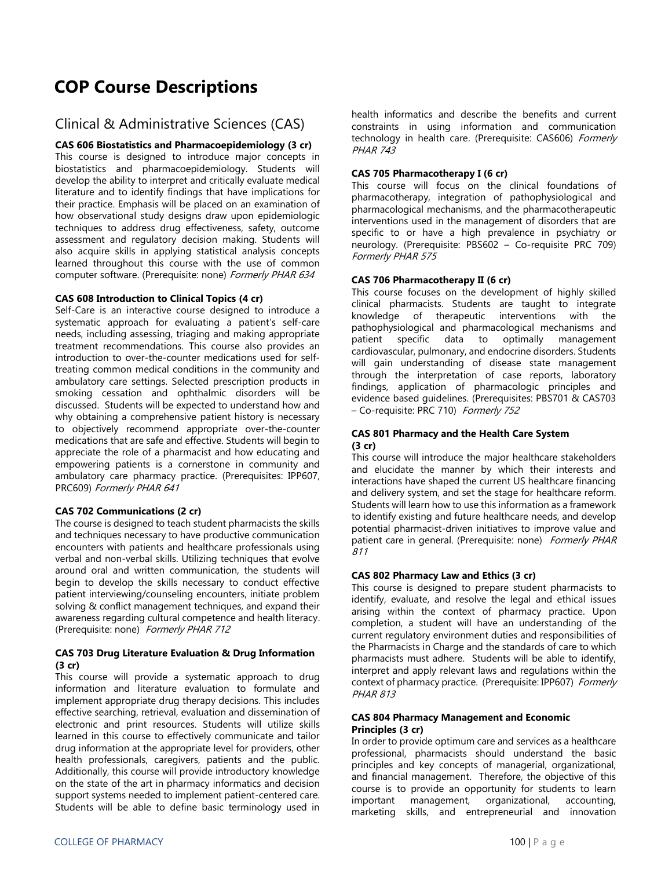# **COP Course Descriptions**

### Clinical & Administrative Sciences (CAS)

### **CAS 606 Biostatistics and Pharmacoepidemiology (3 cr)**

This course is designed to introduce major concepts in biostatistics and pharmacoepidemiology. Students will develop the ability to interpret and critically evaluate medical literature and to identify findings that have implications for their practice. Emphasis will be placed on an examination of how observational study designs draw upon epidemiologic techniques to address drug effectiveness, safety, outcome assessment and regulatory decision making. Students will also acquire skills in applying statistical analysis concepts learned throughout this course with the use of common computer software. (Prerequisite: none) Formerly PHAR 634

### **CAS 608 Introduction to Clinical Topics (4 cr)**

Self-Care is an interactive course designed to introduce a systematic approach for evaluating a patient's self-care needs, including assessing, triaging and making appropriate treatment recommendations. This course also provides an introduction to over-the-counter medications used for selftreating common medical conditions in the community and ambulatory care settings. Selected prescription products in smoking cessation and ophthalmic disorders will be discussed. Students will be expected to understand how and why obtaining a comprehensive patient history is necessary to objectively recommend appropriate over-the-counter medications that are safe and effective. Students will begin to appreciate the role of a pharmacist and how educating and empowering patients is a cornerstone in community and ambulatory care pharmacy practice. (Prerequisites: IPP607, PRC609) Formerly PHAR 641

### **CAS 702 Communications (2 cr)**

The course is designed to teach student pharmacists the skills and techniques necessary to have productive communication encounters with patients and healthcare professionals using verbal and non-verbal skills. Utilizing techniques that evolve around oral and written communication, the students will begin to develop the skills necessary to conduct effective patient interviewing/counseling encounters, initiate problem solving & conflict management techniques, and expand their awareness regarding cultural competence and health literacy. (Prerequisite: none) Formerly PHAR 712

### **CAS 703 Drug Literature Evaluation & Drug Information (3 cr)**

This course will provide a systematic approach to drug information and literature evaluation to formulate and implement appropriate drug therapy decisions. This includes effective searching, retrieval, evaluation and dissemination of electronic and print resources. Students will utilize skills learned in this course to effectively communicate and tailor drug information at the appropriate level for providers, other health professionals, caregivers, patients and the public. Additionally, this course will provide introductory knowledge on the state of the art in pharmacy informatics and decision support systems needed to implement patient-centered care. Students will be able to define basic terminology used in

health informatics and describe the benefits and current constraints in using information and communication technology in health care. (Prerequisite: CAS606) Formerly PHAR 743

### **CAS 705 Pharmacotherapy I (6 cr)**

This course will focus on the clinical foundations of pharmacotherapy, integration of pathophysiological and pharmacological mechanisms, and the pharmacotherapeutic interventions used in the management of disorders that are specific to or have a high prevalence in psychiatry or neurology. (Prerequisite: PBS602 – Co-requisite PRC 709) Formerly PHAR 575

### **CAS 706 Pharmacotherapy II (6 cr)**

This course focuses on the development of highly skilled clinical pharmacists. Students are taught to integrate knowledge of therapeutic interventions with the pathophysiological and pharmacological mechanisms and patient specific data to optimally management cardiovascular, pulmonary, and endocrine disorders. Students will gain understanding of disease state management through the interpretation of case reports, laboratory findings, application of pharmacologic principles and evidence based guidelines. (Prerequisites: PBS701 & CAS703 – Co-requisite: PRC 710) Formerly 752

### **CAS 801 Pharmacy and the Health Care System (3 cr)**

This course will introduce the major healthcare stakeholders and elucidate the manner by which their interests and interactions have shaped the current US healthcare financing and delivery system, and set the stage for healthcare reform. Students will learn how to use this information as a framework to identify existing and future healthcare needs, and develop potential pharmacist-driven initiatives to improve value and patient care in general. (Prerequisite: none) Formerly PHAR 811

### **CAS 802 Pharmacy Law and Ethics (3 cr)**

This course is designed to prepare student pharmacists to identify, evaluate, and resolve the legal and ethical issues arising within the context of pharmacy practice. Upon completion, a student will have an understanding of the current regulatory environment duties and responsibilities of the Pharmacists in Charge and the standards of care to which pharmacists must adhere. Students will be able to identify, interpret and apply relevant laws and regulations within the context of pharmacy practice. (Prerequisite: IPP607) Formerly PHAR 813

#### **CAS 804 Pharmacy Management and Economic Principles (3 cr)**

In order to provide optimum care and services as a healthcare professional, pharmacists should understand the basic principles and key concepts of managerial, organizational, and financial management. Therefore, the objective of this course is to provide an opportunity for students to learn important management, organizational, accounting, marketing skills, and entrepreneurial and innovation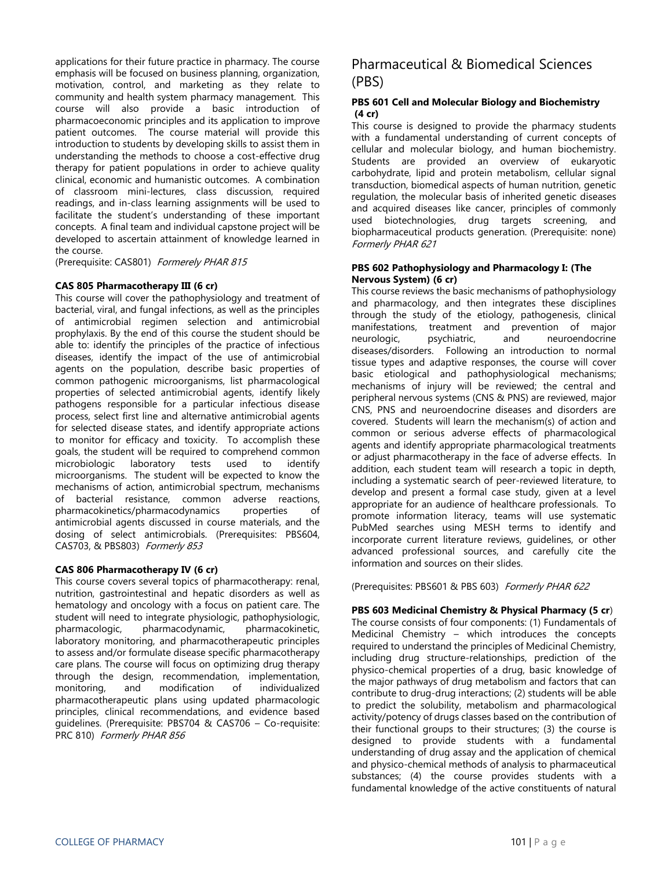applications for their future practice in pharmacy. The course emphasis will be focused on business planning, organization, motivation, control, and marketing as they relate to community and health system pharmacy management. This course will also provide a basic introduction of pharmacoeconomic principles and its application to improve patient outcomes. The course material will provide this introduction to students by developing skills to assist them in understanding the methods to choose a cost-effective drug therapy for patient populations in order to achieve quality clinical, economic and humanistic outcomes. A combination of classroom mini-lectures, class discussion, required readings, and in-class learning assignments will be used to facilitate the student's understanding of these important concepts. A final team and individual capstone project will be developed to ascertain attainment of knowledge learned in the course.

(Prerequisite: CAS801) Formerely PHAR 815

#### **CAS 805 Pharmacotherapy III (6 cr)**

This course will cover the pathophysiology and treatment of bacterial, viral, and fungal infections, as well as the principles of antimicrobial regimen selection and antimicrobial prophylaxis. By the end of this course the student should be able to: identify the principles of the practice of infectious diseases, identify the impact of the use of antimicrobial agents on the population, describe basic properties of common pathogenic microorganisms, list pharmacological properties of selected antimicrobial agents, identify likely pathogens responsible for a particular infectious disease process, select first line and alternative antimicrobial agents for selected disease states, and identify appropriate actions to monitor for efficacy and toxicity. To accomplish these goals, the student will be required to comprehend common microbiologic laboratory tests used to identify microorganisms. The student will be expected to know the mechanisms of action, antimicrobial spectrum, mechanisms of bacterial resistance, common adverse reactions, pharmacokinetics/pharmacodynamics properties of antimicrobial agents discussed in course materials, and the dosing of select antimicrobials. (Prerequisites: PBS604, CAS703, & PBS803) Formerly 853

### **CAS 806 Pharmacotherapy IV (6 cr)**

This course covers several topics of pharmacotherapy: renal, nutrition, gastrointestinal and hepatic disorders as well as hematology and oncology with a focus on patient care. The student will need to integrate physiologic, pathophysiologic, pharmacologic, pharmacodynamic, pharmacokinetic, laboratory monitoring, and pharmacotherapeutic principles to assess and/or formulate disease specific pharmacotherapy care plans. The course will focus on optimizing drug therapy through the design, recommendation, implementation, monitoring, and modification of individualized monitoring, and modification of individualized pharmacotherapeutic plans using updated pharmacologic principles, clinical recommendations, and evidence based guidelines. (Prerequisite: PBS704 & CAS706 – Co-requisite: PRC 810) Formerly PHAR 856

# Pharmaceutical & Biomedical Sciences (PBS)

### **PBS 601 Cell and Molecular Biology and Biochemistry (4 cr)**

This course is designed to provide the pharmacy students with a fundamental understanding of current concepts of cellular and molecular biology, and human biochemistry. Students are provided an overview of eukaryotic carbohydrate, lipid and protein metabolism, cellular signal transduction, biomedical aspects of human nutrition, genetic regulation, the molecular basis of inherited genetic diseases and acquired diseases like cancer, principles of commonly used biotechnologies, drug targets screening, and biopharmaceutical products generation. (Prerequisite: none) Formerly PHAR 621

#### **PBS 602 Pathophysiology and Pharmacology I: (The Nervous System) (6 cr)**

This course reviews the basic mechanisms of pathophysiology and pharmacology, and then integrates these disciplines through the study of the etiology, pathogenesis, clinical manifestations, treatment and prevention of major neurologic, psychiatric, and neuroendocrine diseases/disorders. Following an introduction to normal tissue types and adaptive responses, the course will cover basic etiological and pathophysiological mechanisms; mechanisms of injury will be reviewed; the central and peripheral nervous systems (CNS & PNS) are reviewed, major CNS, PNS and neuroendocrine diseases and disorders are covered. Students will learn the mechanism(s) of action and common or serious adverse effects of pharmacological agents and identify appropriate pharmacological treatments or adjust pharmacotherapy in the face of adverse effects. In addition, each student team will research a topic in depth, including a systematic search of peer-reviewed literature, to develop and present a formal case study, given at a level appropriate for an audience of healthcare professionals. To promote information literacy, teams will use systematic PubMed searches using MESH terms to identify and incorporate current literature reviews, guidelines, or other advanced professional sources, and carefully cite the information and sources on their slides.

(Prerequisites: PBS601 & PBS 603) Formerly PHAR 622

### **PBS 603 Medicinal Chemistry & Physical Pharmacy (5 cr**)

The course consists of four components: (1) Fundamentals of Medicinal Chemistry – which introduces the concepts required to understand the principles of Medicinal Chemistry, including drug structure-relationships, prediction of the physico-chemical properties of a drug, basic knowledge of the major pathways of drug metabolism and factors that can contribute to drug-drug interactions; (2) students will be able to predict the solubility, metabolism and pharmacological activity/potency of drugs classes based on the contribution of their functional groups to their structures; (3) the course is designed to provide students with a fundamental understanding of drug assay and the application of chemical and physico-chemical methods of analysis to pharmaceutical substances; (4) the course provides students with a fundamental knowledge of the active constituents of natural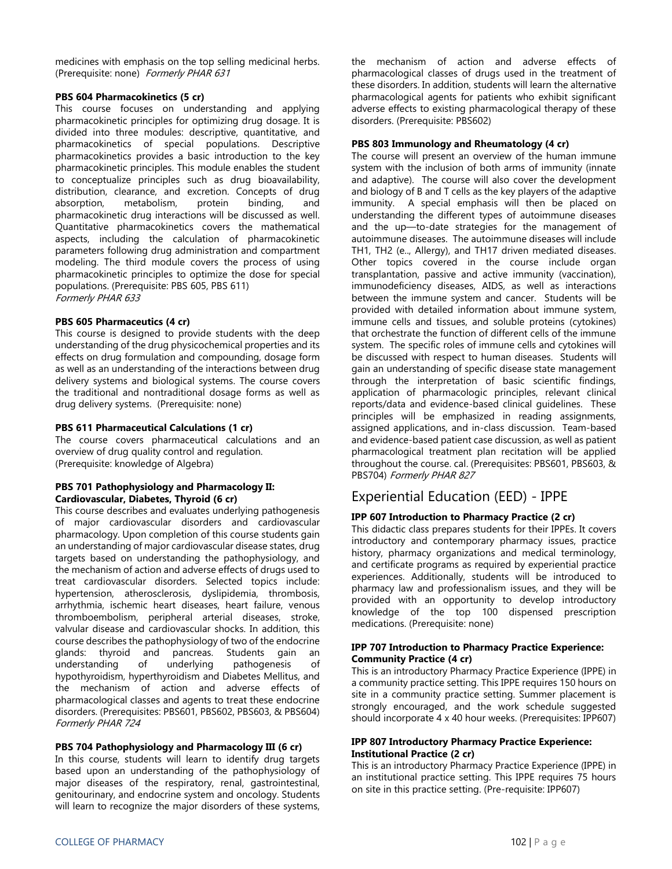medicines with emphasis on the top selling medicinal herbs. (Prerequisite: none) Formerly PHAR 631

### **PBS 604 Pharmacokinetics (5 cr)**

This course focuses on understanding and applying pharmacokinetic principles for optimizing drug dosage. It is divided into three modules: descriptive, quantitative, and pharmacokinetics of special populations. Descriptive pharmacokinetics provides a basic introduction to the key pharmacokinetic principles. This module enables the student to conceptualize principles such as drug bioavailability, distribution, clearance, and excretion. Concepts of drug absorption, metabolism, protein binding, and pharmacokinetic drug interactions will be discussed as well. Quantitative pharmacokinetics covers the mathematical aspects, including the calculation of pharmacokinetic parameters following drug administration and compartment modeling. The third module covers the process of using pharmacokinetic principles to optimize the dose for special populations. (Prerequisite: PBS 605, PBS 611) Formerly PHAR 633

### **PBS 605 Pharmaceutics (4 cr)**

This course is designed to provide students with the deep understanding of the drug physicochemical properties and its effects on drug formulation and compounding, dosage form as well as an understanding of the interactions between drug delivery systems and biological systems. The course covers the traditional and nontraditional dosage forms as well as drug delivery systems. (Prerequisite: none)

### **PBS 611 Pharmaceutical Calculations (1 cr)**

The course covers pharmaceutical calculations and an overview of drug quality control and regulation. (Prerequisite: knowledge of Algebra)

### **PBS 701 Pathophysiology and Pharmacology II: Cardiovascular, Diabetes, Thyroid (6 cr)**

This course describes and evaluates underlying pathogenesis of major cardiovascular disorders and cardiovascular pharmacology. Upon completion of this course students gain an understanding of major cardiovascular disease states, drug targets based on understanding the pathophysiology, and the mechanism of action and adverse effects of drugs used to treat cardiovascular disorders. Selected topics include: hypertension, atherosclerosis, dyslipidemia, thrombosis, arrhythmia, ischemic heart diseases, heart failure, venous thromboembolism, peripheral arterial diseases, stroke, valvular disease and cardiovascular shocks. In addition, this course describes the pathophysiology of two of the endocrine glands: thyroid and pancreas. Students gain an understanding of underlying pathogenesis of hypothyroidism, hyperthyroidism and Diabetes Mellitus, and the mechanism of action and adverse effects of pharmacological classes and agents to treat these endocrine disorders. (Prerequisites: PBS601, PBS602, PBS603, & PBS604) Formerly PHAR 724

### **PBS 704 Pathophysiology and Pharmacology III (6 cr)**

In this course, students will learn to identify drug targets based upon an understanding of the pathophysiology of major diseases of the respiratory, renal, gastrointestinal, genitourinary, and endocrine system and oncology. Students will learn to recognize the major disorders of these systems,

the mechanism of action and adverse effects of pharmacological classes of drugs used in the treatment of these disorders. In addition, students will learn the alternative pharmacological agents for patients who exhibit significant adverse effects to existing pharmacological therapy of these disorders. (Prerequisite: PBS602)

### **PBS 803 Immunology and Rheumatology (4 cr)**

The course will present an overview of the human immune system with the inclusion of both arms of immunity (innate and adaptive). The course will also cover the development and biology of B and T cells as the key players of the adaptive immunity. A special emphasis will then be placed on understanding the different types of autoimmune diseases and the up—to-date strategies for the management of autoimmune diseases. The autoimmune diseases will include TH1, TH2 (e.., Allergy), and TH17 driven mediated diseases. Other topics covered in the course include organ transplantation, passive and active immunity (vaccination), immunodeficiency diseases, AIDS, as well as interactions between the immune system and cancer. Students will be provided with detailed information about immune system, immune cells and tissues, and soluble proteins (cytokines) that orchestrate the function of different cells of the immune system. The specific roles of immune cells and cytokines will be discussed with respect to human diseases. Students will gain an understanding of specific disease state management through the interpretation of basic scientific findings, application of pharmacologic principles, relevant clinical reports/data and evidence-based clinical guidelines. These principles will be emphasized in reading assignments, assigned applications, and in-class discussion. Team-based and evidence-based patient case discussion, as well as patient pharmacological treatment plan recitation will be applied throughout the course. cal. (Prerequisites: PBS601, PBS603, & PBS704) Formerly PHAR 827

### Experiential Education (EED) - IPPE

### **IPP 607 Introduction to Pharmacy Practice (2 cr)**

This didactic class prepares students for their IPPEs. It covers introductory and contemporary pharmacy issues, practice history, pharmacy organizations and medical terminology, and certificate programs as required by experiential practice experiences. Additionally, students will be introduced to pharmacy law and professionalism issues, and they will be provided with an opportunity to develop introductory knowledge of the top 100 dispensed prescription medications. (Prerequisite: none)

### **IPP 707 Introduction to Pharmacy Practice Experience: Community Practice (4 cr)**

This is an introductory Pharmacy Practice Experience (IPPE) in a community practice setting. This IPPE requires 150 hours on site in a community practice setting. Summer placement is strongly encouraged, and the work schedule suggested should incorporate 4 x 40 hour weeks. (Prerequisites: IPP607)

#### **IPP 807 Introductory Pharmacy Practice Experience: Institutional Practice (2 cr)**

This is an introductory Pharmacy Practice Experience (IPPE) in an institutional practice setting. This IPPE requires 75 hours on site in this practice setting. (Pre-requisite: IPP607)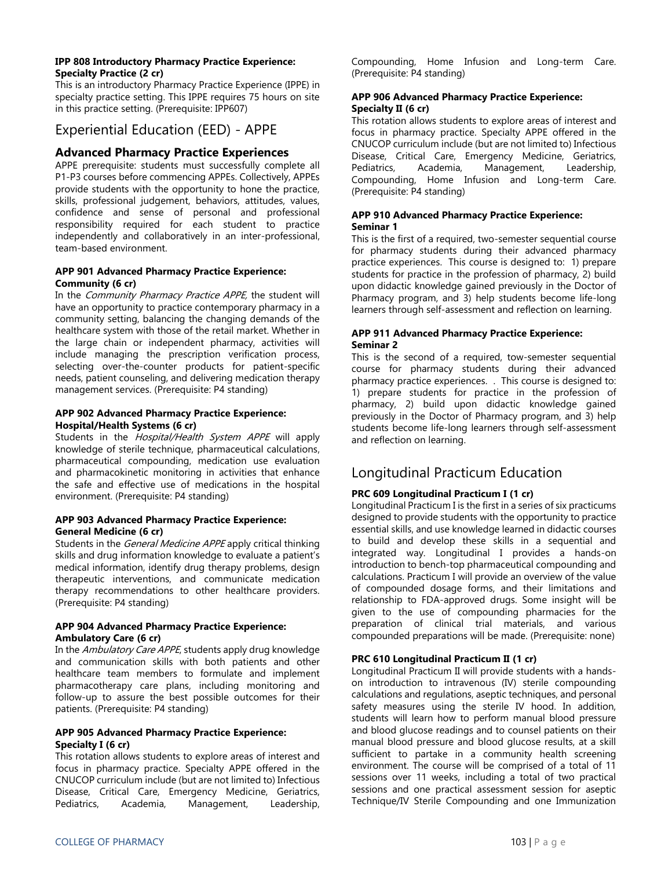#### **IPP 808 Introductory Pharmacy Practice Experience: Specialty Practice (2 cr)**

This is an introductory Pharmacy Practice Experience (IPPE) in specialty practice setting. This IPPE requires 75 hours on site in this practice setting. (Prerequisite: IPP607)

### Experiential Education (EED) - APPE

### **Advanced Pharmacy Practice Experiences**

APPE prerequisite: students must successfully complete all P1-P3 courses before commencing APPEs. Collectively, APPEs provide students with the opportunity to hone the practice, skills, professional judgement, behaviors, attitudes, values, confidence and sense of personal and professional responsibility required for each student to practice independently and collaboratively in an inter-professional, team-based environment.

### **APP 901 Advanced Pharmacy Practice Experience: Community (6 cr)**

In the Community Pharmacy Practice APPE, the student will have an opportunity to practice contemporary pharmacy in a community setting, balancing the changing demands of the healthcare system with those of the retail market. Whether in the large chain or independent pharmacy, activities will include managing the prescription verification process, selecting over-the-counter products for patient-specific needs, patient counseling, and delivering medication therapy management services. (Prerequisite: P4 standing)

#### **APP 902 Advanced Pharmacy Practice Experience: Hospital/Health Systems (6 cr)**

Students in the *Hospital/Health System APPE* will apply knowledge of sterile technique, pharmaceutical calculations, pharmaceutical compounding, medication use evaluation and pharmacokinetic monitoring in activities that enhance the safe and effective use of medications in the hospital environment. (Prerequisite: P4 standing)

### **APP 903 Advanced Pharmacy Practice Experience: General Medicine (6 cr)**

Students in the General Medicine APPE apply critical thinking skills and drug information knowledge to evaluate a patient's medical information, identify drug therapy problems, design therapeutic interventions, and communicate medication therapy recommendations to other healthcare providers. (Prerequisite: P4 standing)

### **APP 904 Advanced Pharmacy Practice Experience: Ambulatory Care (6 cr)**

In the Ambulatory Care APPE, students apply drug knowledge and communication skills with both patients and other healthcare team members to formulate and implement pharmacotherapy care plans, including monitoring and follow-up to assure the best possible outcomes for their patients. (Prerequisite: P4 standing)

### **APP 905 Advanced Pharmacy Practice Experience: Specialty I (6 cr)**

This rotation allows students to explore areas of interest and focus in pharmacy practice. Specialty APPE offered in the CNUCOP curriculum include (but are not limited to) Infectious Disease, Critical Care, Emergency Medicine, Geriatrics, Pediatrics, Academia, Management, Leadership, Compounding, Home Infusion and Long-term Care. (Prerequisite: P4 standing)

### **APP 906 Advanced Pharmacy Practice Experience: Specialty II (6 cr)**

This rotation allows students to explore areas of interest and focus in pharmacy practice. Specialty APPE offered in the CNUCOP curriculum include (but are not limited to) Infectious Disease, Critical Care, Emergency Medicine, Geriatrics, Pediatrics, Academia, Management, Leadership, Compounding, Home Infusion and Long-term Care. (Prerequisite: P4 standing)

### **APP 910 Advanced Pharmacy Practice Experience: Seminar 1**

This is the first of a required, two-semester sequential course for pharmacy students during their advanced pharmacy practice experiences. This course is designed to: 1) prepare students for practice in the profession of pharmacy, 2) build upon didactic knowledge gained previously in the Doctor of Pharmacy program, and 3) help students become life-long learners through self-assessment and reflection on learning.

### **APP 911 Advanced Pharmacy Practice Experience: Seminar 2**

This is the second of a required, tow-semester sequential course for pharmacy students during their advanced pharmacy practice experiences. . This course is designed to: 1) prepare students for practice in the profession of pharmacy, 2) build upon didactic knowledge gained previously in the Doctor of Pharmacy program, and 3) help students become life-long learners through self-assessment and reflection on learning.

### Longitudinal Practicum Education

### **PRC 609 Longitudinal Practicum I (1 cr)**

Longitudinal Practicum I is the first in a series of six practicums designed to provide students with the opportunity to practice essential skills, and use knowledge learned in didactic courses to build and develop these skills in a sequential and integrated way. Longitudinal I provides a hands-on introduction to bench-top pharmaceutical compounding and calculations. Practicum I will provide an overview of the value of compounded dosage forms, and their limitations and relationship to FDA-approved drugs. Some insight will be given to the use of compounding pharmacies for the preparation of clinical trial materials, and various compounded preparations will be made. (Prerequisite: none)

### **PRC 610 Longitudinal Practicum II (1 cr)**

Longitudinal Practicum II will provide students with a handson introduction to intravenous (IV) sterile compounding calculations and regulations, aseptic techniques, and personal safety measures using the sterile IV hood. In addition, students will learn how to perform manual blood pressure and blood glucose readings and to counsel patients on their manual blood pressure and blood glucose results, at a skill sufficient to partake in a community health screening environment. The course will be comprised of a total of 11 sessions over 11 weeks, including a total of two practical sessions and one practical assessment session for aseptic Technique/IV Sterile Compounding and one Immunization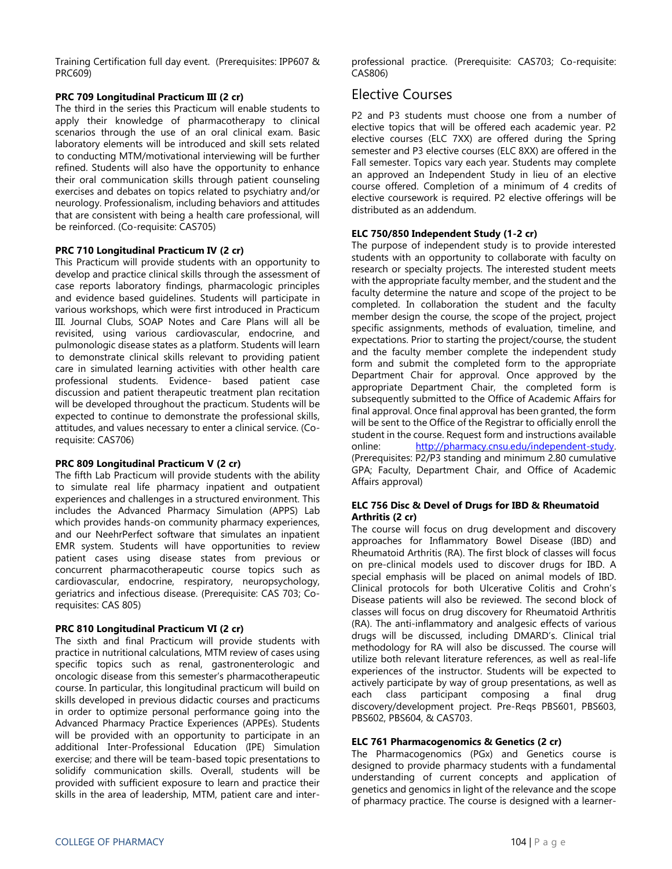Training Certification full day event. (Prerequisites: IPP607 & PRC609)

### **PRC 709 Longitudinal Practicum III (2 cr)**

The third in the series this Practicum will enable students to apply their knowledge of pharmacotherapy to clinical scenarios through the use of an oral clinical exam. Basic laboratory elements will be introduced and skill sets related to conducting MTM/motivational interviewing will be further refined. Students will also have the opportunity to enhance their oral communication skills through patient counseling exercises and debates on topics related to psychiatry and/or neurology. Professionalism, including behaviors and attitudes that are consistent with being a health care professional, will be reinforced. (Co-requisite: CAS705)

### **PRC 710 Longitudinal Practicum IV (2 cr)**

This Practicum will provide students with an opportunity to develop and practice clinical skills through the assessment of case reports laboratory findings, pharmacologic principles and evidence based guidelines. Students will participate in various workshops, which were first introduced in Practicum III. Journal Clubs, SOAP Notes and Care Plans will all be revisited, using various cardiovascular, endocrine, and pulmonologic disease states as a platform. Students will learn to demonstrate clinical skills relevant to providing patient care in simulated learning activities with other health care professional students. Evidence- based patient case discussion and patient therapeutic treatment plan recitation will be developed throughout the practicum. Students will be expected to continue to demonstrate the professional skills, attitudes, and values necessary to enter a clinical service. (Corequisite: CAS706)

### **PRC 809 Longitudinal Practicum V (2 cr)**

The fifth Lab Practicum will provide students with the ability to simulate real life pharmacy inpatient and outpatient experiences and challenges in a structured environment. This includes the Advanced Pharmacy Simulation (APPS) Lab which provides hands-on community pharmacy experiences, and our NeehrPerfect software that simulates an inpatient EMR system. Students will have opportunities to review patient cases using disease states from previous or concurrent pharmacotherapeutic course topics such as cardiovascular, endocrine, respiratory, neuropsychology, geriatrics and infectious disease. (Prerequisite: CAS 703; Corequisites: CAS 805)

### **PRC 810 Longitudinal Practicum VI (2 cr)**

The sixth and final Practicum will provide students with practice in nutritional calculations, MTM review of cases using specific topics such as renal, gastronenterologic and oncologic disease from this semester's pharmacotherapeutic course. In particular, this longitudinal practicum will build on skills developed in previous didactic courses and practicums in order to optimize personal performance going into the Advanced Pharmacy Practice Experiences (APPEs). Students will be provided with an opportunity to participate in an additional Inter-Professional Education (IPE) Simulation exercise; and there will be team-based topic presentations to solidify communication skills. Overall, students will be provided with sufficient exposure to learn and practice their skills in the area of leadership, MTM, patient care and interprofessional practice. (Prerequisite: CAS703; Co-requisite: CAS806)

### Elective Courses

P2 and P3 students must choose one from a number of elective topics that will be offered each academic year. P2 elective courses (ELC 7XX) are offered during the Spring semester and P3 elective courses (ELC 8XX) are offered in the Fall semester. Topics vary each year. Students may complete an approved an Independent Study in lieu of an elective course offered. Completion of a minimum of 4 credits of elective coursework is required. P2 elective offerings will be distributed as an addendum.

### **ELC 750/850 Independent Study (1-2 cr)**

The purpose of independent study is to provide interested students with an opportunity to collaborate with faculty on research or specialty projects. The interested student meets with the appropriate faculty member, and the student and the faculty determine the nature and scope of the project to be completed. In collaboration the student and the faculty member design the course, the scope of the project, project specific assignments, methods of evaluation, timeline, and expectations. Prior to starting the project/course, the student and the faculty member complete the independent study form and submit the completed form to the appropriate Department Chair for approval. Once approved by the appropriate Department Chair, the completed form is subsequently submitted to the Office of Academic Affairs for final approval. Once final approval has been granted, the form will be sent to the Office of the Registrar to officially enroll the student in the course. Request form and instructions available online: http://pharmacy.cnsu.edu/independent-study. (Prerequisites: P2/P3 standing and minimum 2.80 cumulative GPA; Faculty, Department Chair, and Office of Academic Affairs approval)

### **ELC 756 Disc & Devel of Drugs for IBD & Rheumatoid Arthritis (2 cr)**

The course will focus on drug development and discovery approaches for Inflammatory Bowel Disease (IBD) and Rheumatoid Arthritis (RA). The first block of classes will focus on pre-clinical models used to discover drugs for IBD. A special emphasis will be placed on animal models of IBD. Clinical protocols for both Ulcerative Colitis and Crohn's Disease patients will also be reviewed. The second block of classes will focus on drug discovery for Rheumatoid Arthritis (RA). The anti-inflammatory and analgesic effects of various drugs will be discussed, including DMARD's. Clinical trial methodology for RA will also be discussed. The course will utilize both relevant literature references, as well as real-life experiences of the instructor. Students will be expected to actively participate by way of group presentations, as well as each class participant composing a final drug discovery/development project. Pre-Reqs PBS601, PBS603, PBS602, PBS604, & CAS703.

### **ELC 761 Pharmacogenomics & Genetics (2 cr)**

The Pharmacogenomics (PGx) and Genetics course is designed to provide pharmacy students with a fundamental understanding of current concepts and application of genetics and genomics in light of the relevance and the scope of pharmacy practice. The course is designed with a learner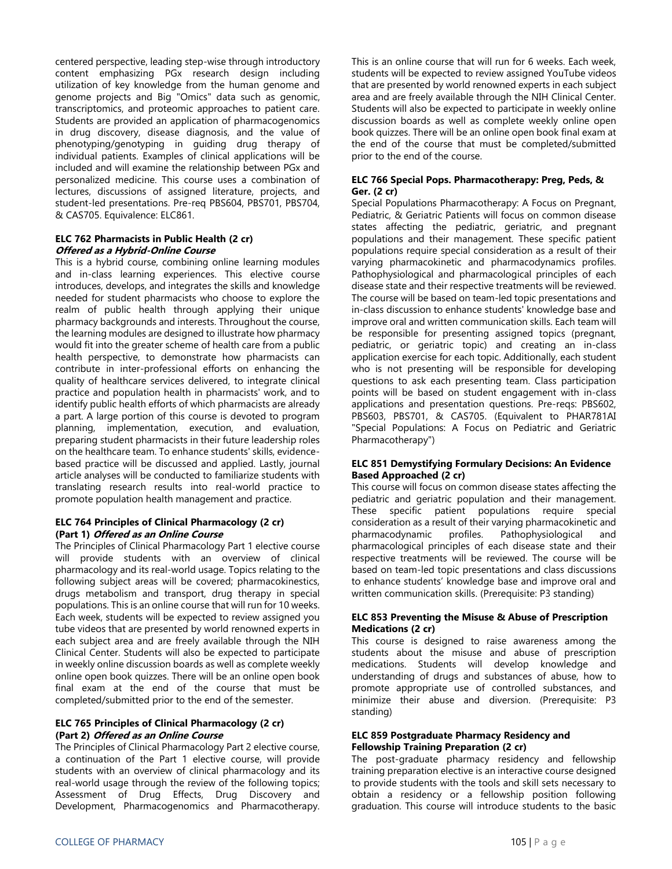centered perspective, leading step-wise through introductory content emphasizing PGx research design including utilization of key knowledge from the human genome and genome projects and Big "Omics" data such as genomic, transcriptomics, and proteomic approaches to patient care. Students are provided an application of pharmacogenomics in drug discovery, disease diagnosis, and the value of phenotyping/genotyping in guiding drug therapy of individual patients. Examples of clinical applications will be included and will examine the relationship between PGx and personalized medicine. This course uses a combination of lectures, discussions of assigned literature, projects, and student-led presentations. Pre-req PBS604, PBS701, PBS704, & CAS705. Equivalence: ELC861.

### **ELC 762 Pharmacists in Public Health (2 cr) Offered as a Hybrid-Online Course**

This is a hybrid course, combining online learning modules and in-class learning experiences. This elective course introduces, develops, and integrates the skills and knowledge needed for student pharmacists who choose to explore the realm of public health through applying their unique pharmacy backgrounds and interests. Throughout the course, the learning modules are designed to illustrate how pharmacy would fit into the greater scheme of health care from a public health perspective, to demonstrate how pharmacists can contribute in inter-professional efforts on enhancing the quality of healthcare services delivered, to integrate clinical practice and population health in pharmacists' work, and to identify public health efforts of which pharmacists are already a part. A large portion of this course is devoted to program planning, implementation, execution, and evaluation, preparing student pharmacists in their future leadership roles on the healthcare team. To enhance students' skills, evidencebased practice will be discussed and applied. Lastly, journal article analyses will be conducted to familiarize students with translating research results into real-world practice to promote population health management and practice.

### **ELC 764 Principles of Clinical Pharmacology (2 cr) (Part 1) Offered as an Online Course**

The Principles of Clinical Pharmacology Part 1 elective course will provide students with an overview of clinical pharmacology and its real-world usage. Topics relating to the following subject areas will be covered; pharmacokinestics, drugs metabolism and transport, drug therapy in special populations. This is an online course that will run for 10 weeks. Each week, students will be expected to review assigned you tube videos that are presented by world renowned experts in each subject area and are freely available through the NIH Clinical Center. Students will also be expected to participate in weekly online discussion boards as well as complete weekly online open book quizzes. There will be an online open book final exam at the end of the course that must be completed/submitted prior to the end of the semester.

### **ELC 765 Principles of Clinical Pharmacology (2 cr) (Part 2) Offered as an Online Course**

The Principles of Clinical Pharmacology Part 2 elective course, a continuation of the Part 1 elective course, will provide students with an overview of clinical pharmacology and its real-world usage through the review of the following topics; Assessment of Drug Effects, Drug Discovery and Development, Pharmacogenomics and Pharmacotherapy. This is an online course that will run for 6 weeks. Each week, students will be expected to review assigned YouTube videos that are presented by world renowned experts in each subject area and are freely available through the NIH Clinical Center. Students will also be expected to participate in weekly online discussion boards as well as complete weekly online open book quizzes. There will be an online open book final exam at the end of the course that must be completed/submitted prior to the end of the course.

### **ELC 766 Special Pops. Pharmacotherapy: Preg, Peds, & Ger. (2 cr)**

Special Populations Pharmacotherapy: A Focus on Pregnant, Pediatric, & Geriatric Patients will focus on common disease states affecting the pediatric, geriatric, and pregnant populations and their management. These specific patient populations require special consideration as a result of their varying pharmacokinetic and pharmacodynamics profiles. Pathophysiological and pharmacological principles of each disease state and their respective treatments will be reviewed. The course will be based on team-led topic presentations and in-class discussion to enhance students' knowledge base and improve oral and written communication skills. Each team will be responsible for presenting assigned topics (pregnant, pediatric, or geriatric topic) and creating an in-class application exercise for each topic. Additionally, each student who is not presenting will be responsible for developing questions to ask each presenting team. Class participation points will be based on student engagement with in-class applications and presentation questions. Pre-reqs: PBS602, PBS603, PBS701, & CAS705. (Equivalent to PHAR781AI "Special Populations: A Focus on Pediatric and Geriatric Pharmacotherapy")

### **ELC 851 Demystifying Formulary Decisions: An Evidence Based Approached (2 cr)**

This course will focus on common disease states affecting the pediatric and geriatric population and their management. These specific patient populations require special consideration as a result of their varying pharmacokinetic and pharmacodynamic profiles. Pathophysiological and pharmacological principles of each disease state and their respective treatments will be reviewed. The course will be based on team-led topic presentations and class discussions to enhance students' knowledge base and improve oral and written communication skills. (Prerequisite: P3 standing)

### **ELC 853 Preventing the Misuse & Abuse of Prescription Medications (2 cr)**

This course is designed to raise awareness among the students about the misuse and abuse of prescription medications. Students will develop knowledge and understanding of drugs and substances of abuse, how to promote appropriate use of controlled substances, and minimize their abuse and diversion. (Prerequisite: P3 standing)

### **ELC 859 Postgraduate Pharmacy Residency and Fellowship Training Preparation (2 cr)**

The post-graduate pharmacy residency and fellowship training preparation elective is an interactive course designed to provide students with the tools and skill sets necessary to obtain a residency or a fellowship position following graduation. This course will introduce students to the basic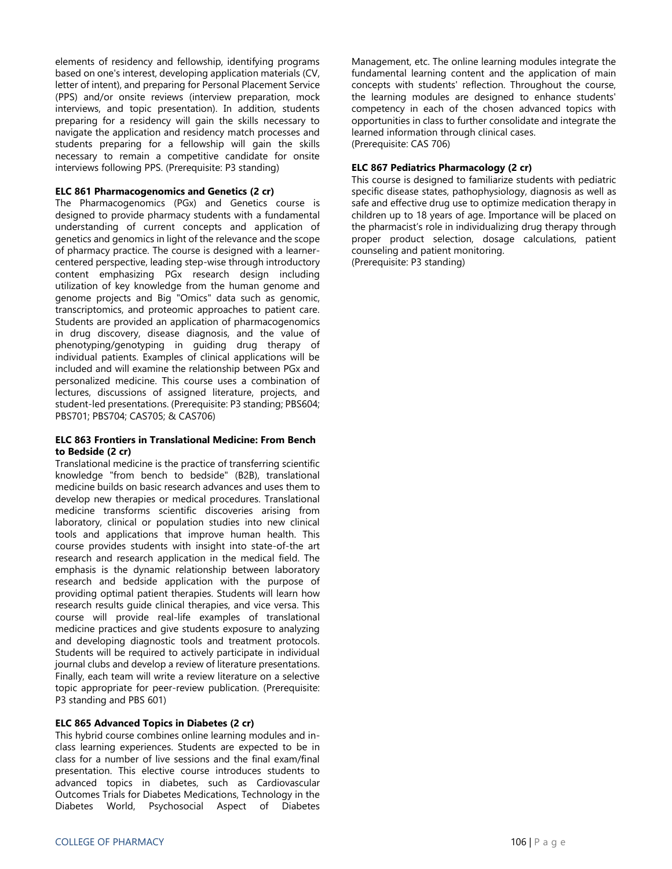elements of residency and fellowship, identifying programs based on one's interest, developing application materials (CV, letter of intent), and preparing for Personal Placement Service (PPS) and/or onsite reviews (interview preparation, mock interviews, and topic presentation). In addition, students preparing for a residency will gain the skills necessary to navigate the application and residency match processes and students preparing for a fellowship will gain the skills necessary to remain a competitive candidate for onsite interviews following PPS. (Prerequisite: P3 standing)

#### **ELC 861 Pharmacogenomics and Genetics (2 cr)**

The Pharmacogenomics (PGx) and Genetics course is designed to provide pharmacy students with a fundamental understanding of current concepts and application of genetics and genomics in light of the relevance and the scope of pharmacy practice. The course is designed with a learnercentered perspective, leading step-wise through introductory content emphasizing PGx research design including utilization of key knowledge from the human genome and genome projects and Big "Omics" data such as genomic, transcriptomics, and proteomic approaches to patient care. Students are provided an application of pharmacogenomics in drug discovery, disease diagnosis, and the value of phenotyping/genotyping in guiding drug therapy of individual patients. Examples of clinical applications will be included and will examine the relationship between PGx and personalized medicine. This course uses a combination of lectures, discussions of assigned literature, projects, and student-led presentations. (Prerequisite: P3 standing; PBS604; PBS701; PBS704; CAS705; & CAS706)

#### **ELC 863 Frontiers in Translational Medicine: From Bench to Bedside (2 cr)**

Translational medicine is the practice of transferring scientific knowledge "from bench to bedside" (B2B), translational medicine builds on basic research advances and uses them to develop new therapies or medical procedures. Translational medicine transforms scientific discoveries arising from laboratory, clinical or population studies into new clinical tools and applications that improve human health. This course provides students with insight into state-of-the art research and research application in the medical field. The emphasis is the dynamic relationship between laboratory research and bedside application with the purpose of providing optimal patient therapies. Students will learn how research results guide clinical therapies, and vice versa. This course will provide real-life examples of translational medicine practices and give students exposure to analyzing and developing diagnostic tools and treatment protocols. Students will be required to actively participate in individual journal clubs and develop a review of literature presentations. Finally, each team will write a review literature on a selective topic appropriate for peer-review publication. (Prerequisite: P3 standing and PBS 601)

#### **ELC 865 Advanced Topics in Diabetes (2 cr)**

This hybrid course combines online learning modules and inclass learning experiences. Students are expected to be in class for a number of live sessions and the final exam/final presentation. This elective course introduces students to advanced topics in diabetes, such as Cardiovascular Outcomes Trials for Diabetes Medications, Technology in the Diabetes World, Psychosocial Aspect of Diabetes

Management, etc. The online learning modules integrate the fundamental learning content and the application of main concepts with students' reflection. Throughout the course, the learning modules are designed to enhance students' competency in each of the chosen advanced topics with opportunities in class to further consolidate and integrate the learned information through clinical cases. (Prerequisite: CAS 706)

#### **ELC 867 Pediatrics Pharmacology (2 cr)**

This course is designed to familiarize students with pediatric specific disease states, pathophysiology, diagnosis as well as safe and effective drug use to optimize medication therapy in children up to 18 years of age. Importance will be placed on the pharmacist's role in individualizing drug therapy through proper product selection, dosage calculations, patient counseling and patient monitoring. (Prerequisite: P3 standing)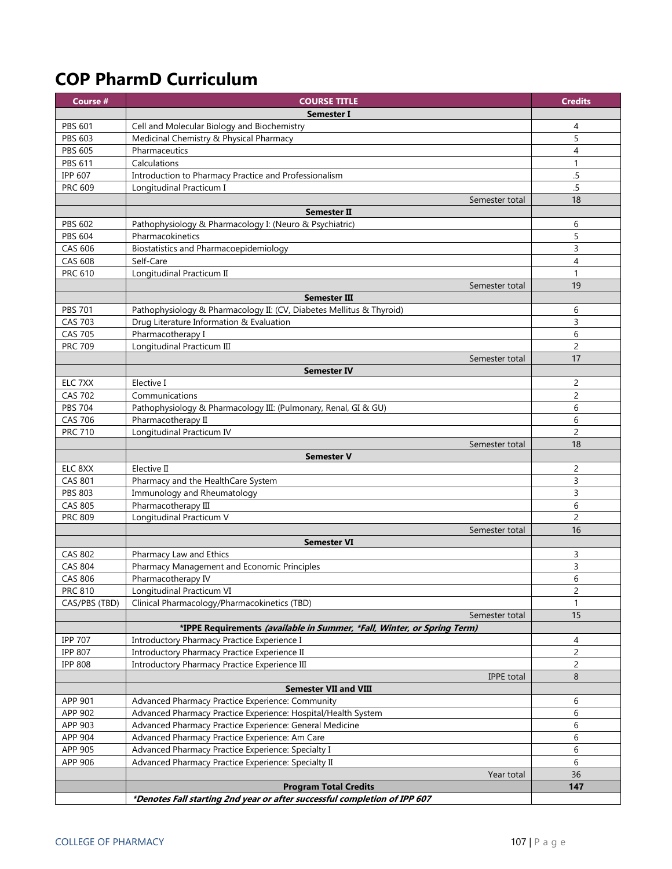# **COP PharmD Curriculum**

| Course #       | <b>COURSE TITLE</b>                                                       | <b>Credits</b> |
|----------------|---------------------------------------------------------------------------|----------------|
|                | Semester I                                                                |                |
| <b>PBS 601</b> | Cell and Molecular Biology and Biochemistry                               | 4              |
| <b>PBS 603</b> | Medicinal Chemistry & Physical Pharmacy                                   | 5              |
| <b>PBS 605</b> | Pharmaceutics                                                             | 4              |
| <b>PBS 611</b> | Calculations                                                              | $\mathbf{1}$   |
| <b>IPP 607</b> | Introduction to Pharmacy Practice and Professionalism                     | .5             |
| PRC 609        | Longitudinal Practicum I                                                  | .5             |
|                | Semester total                                                            | 18             |
|                | <b>Semester II</b>                                                        |                |
| <b>PBS 602</b> | Pathophysiology & Pharmacology I: (Neuro & Psychiatric)                   | 6              |
| <b>PBS 604</b> | Pharmacokinetics                                                          | 5              |
| CAS 606        | <b>Biostatistics and Pharmacoepidemiology</b>                             | 3              |
| <b>CAS 608</b> | Self-Care                                                                 | $\overline{4}$ |
| <b>PRC 610</b> | Longitudinal Practicum II                                                 | 1              |
|                | Semester total                                                            | 19             |
|                | <b>Semester III</b>                                                       |                |
| <b>PBS 701</b> | Pathophysiology & Pharmacology II: (CV, Diabetes Mellitus & Thyroid)      | 6              |
| <b>CAS 703</b> | Drug Literature Information & Evaluation                                  | 3              |
| <b>CAS 705</b> | Pharmacotherapy I                                                         | 6              |
| <b>PRC 709</b> | Longitudinal Practicum III                                                | $\overline{c}$ |
|                | Semester total                                                            | 17             |
|                | <b>Semester IV</b>                                                        |                |
| ELC 7XX        | Elective I                                                                | 2              |
| <b>CAS 702</b> | Communications                                                            | $\overline{c}$ |
| <b>PBS 704</b> | Pathophysiology & Pharmacology III: (Pulmonary, Renal, GI & GU)           | 6              |
| <b>CAS 706</b> | Pharmacotherapy II                                                        | 6              |
| <b>PRC 710</b> | Longitudinal Practicum IV                                                 | $\overline{2}$ |
|                | Semester total                                                            | 18             |
|                | <b>Semester V</b>                                                         |                |
| ELC 8XX        | Elective II                                                               | 2              |
| <b>CAS 801</b> | Pharmacy and the HealthCare System                                        | 3              |
| <b>PBS 803</b> | Immunology and Rheumatology                                               | 3              |
| <b>CAS 805</b> | Pharmacotherapy III                                                       | 6              |
| <b>PRC 809</b> | Longitudinal Practicum V                                                  | $\overline{2}$ |
|                | Semester total                                                            | 16             |
|                | <b>Semester VI</b>                                                        |                |
| <b>CAS 802</b> | Pharmacy Law and Ethics                                                   | 3              |
| <b>CAS 804</b> | Pharmacy Management and Economic Principles                               | 3              |
| CAS 806        | Pharmacotherapy IV                                                        | 6              |
| <b>PRC 810</b> | Longitudinal Practicum VI                                                 | 2              |
| CAS/PBS (TBD)  | Clinical Pharmacology/Pharmacokinetics (TBD)                              | $\mathbf{1}$   |
|                | Semester total                                                            | 15             |
|                | *IPPE Requirements (available in Summer, *Fall, Winter, or Spring Term)   |                |
| <b>IPP 707</b> | <b>Introductory Pharmacy Practice Experience I</b>                        | 4              |
| <b>IPP 807</b> | Introductory Pharmacy Practice Experience II                              | $\overline{c}$ |
| <b>IPP 808</b> | Introductory Pharmacy Practice Experience III                             | 2              |
|                | <b>IPPE</b> total                                                         | 8              |
|                | <b>Semester VII and VIII</b>                                              |                |
| APP 901        | Advanced Pharmacy Practice Experience: Community                          | 6              |
| APP 902        | Advanced Pharmacy Practice Experience: Hospital/Health System             | 6              |
| APP 903        | Advanced Pharmacy Practice Experience: General Medicine                   | 6              |
| APP 904        | Advanced Pharmacy Practice Experience: Am Care                            | 6              |
| APP 905        | Advanced Pharmacy Practice Experience: Specialty I                        | 6              |
| APP 906        | Advanced Pharmacy Practice Experience: Specialty II                       | 6              |
|                | Year total                                                                | 36             |
|                | <b>Program Total Credits</b>                                              | 147            |
|                | *Denotes Fall starting 2nd year or after successful completion of IPP 607 |                |